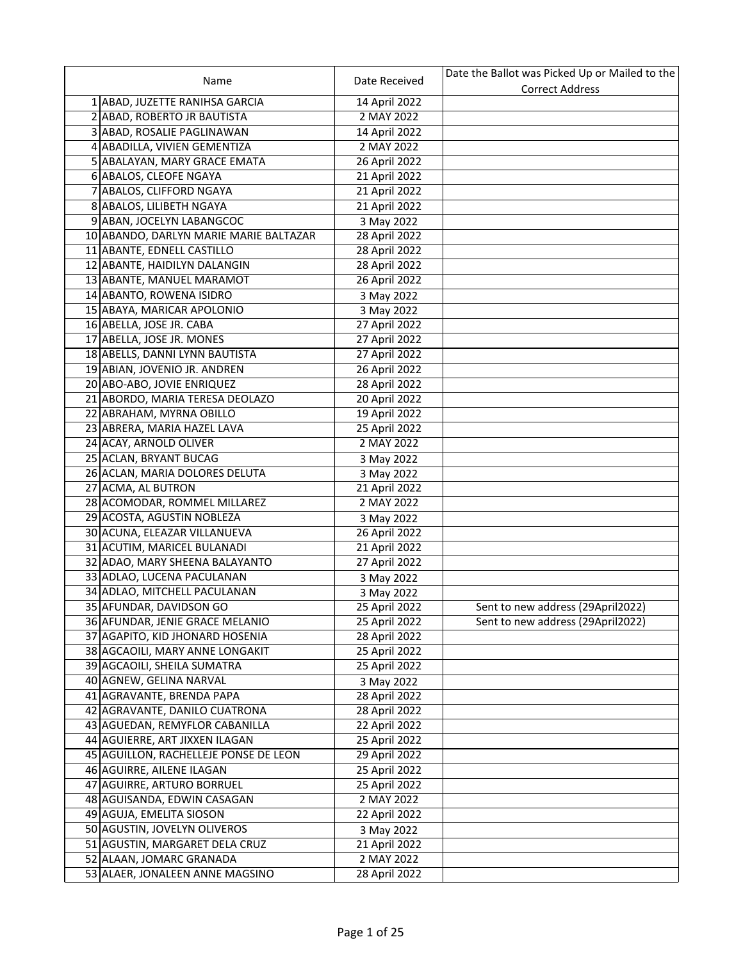|                                        |               | Date the Ballot was Picked Up or Mailed to the |
|----------------------------------------|---------------|------------------------------------------------|
| Name                                   | Date Received | <b>Correct Address</b>                         |
| 1 ABAD, JUZETTE RANIHSA GARCIA         | 14 April 2022 |                                                |
| 2 ABAD, ROBERTO JR BAUTISTA            | 2 MAY 2022    |                                                |
| 3 ABAD, ROSALIE PAGLINAWAN             | 14 April 2022 |                                                |
| 4 ABADILLA, VIVIEN GEMENTIZA           | 2 MAY 2022    |                                                |
| 5 ABALAYAN, MARY GRACE EMATA           | 26 April 2022 |                                                |
| 6 ABALOS, CLEOFE NGAYA                 | 21 April 2022 |                                                |
| 7 ABALOS, CLIFFORD NGAYA               | 21 April 2022 |                                                |
| 8 ABALOS, LILIBETH NGAYA               | 21 April 2022 |                                                |
| 9 ABAN, JOCELYN LABANGCOC              | 3 May 2022    |                                                |
| 10 ABANDO, DARLYN MARIE MARIE BALTAZAR | 28 April 2022 |                                                |
| 11 ABANTE, EDNELL CASTILLO             | 28 April 2022 |                                                |
| 12 ABANTE, HAIDILYN DALANGIN           | 28 April 2022 |                                                |
| 13 ABANTE, MANUEL MARAMOT              | 26 April 2022 |                                                |
| 14 ABANTO, ROWENA ISIDRO               | 3 May 2022    |                                                |
| 15 ABAYA, MARICAR APOLONIO             | 3 May 2022    |                                                |
| 16 ABELLA, JOSE JR. CABA               | 27 April 2022 |                                                |
| 17 ABELLA, JOSE JR. MONES              | 27 April 2022 |                                                |
| 18 ABELLS, DANNI LYNN BAUTISTA         | 27 April 2022 |                                                |
| 19 ABIAN, JOVENIO JR. ANDREN           | 26 April 2022 |                                                |
| 20 ABO-ABO, JOVIE ENRIQUEZ             | 28 April 2022 |                                                |
| 21 ABORDO, MARIA TERESA DEOLAZO        | 20 April 2022 |                                                |
| 22 ABRAHAM, MYRNA OBILLO               | 19 April 2022 |                                                |
|                                        |               |                                                |
| 23 ABRERA, MARIA HAZEL LAVA            | 25 April 2022 |                                                |
| 24 ACAY, ARNOLD OLIVER                 | 2 MAY 2022    |                                                |
| 25 ACLAN, BRYANT BUCAG                 | 3 May 2022    |                                                |
| 26 ACLAN, MARIA DOLORES DELUTA         | 3 May 2022    |                                                |
| 27 ACMA, AL BUTRON                     | 21 April 2022 |                                                |
| 28 ACOMODAR, ROMMEL MILLAREZ           | 2 MAY 2022    |                                                |
| 29 ACOSTA, AGUSTIN NOBLEZA             | 3 May 2022    |                                                |
| 30 ACUNA, ELEAZAR VILLANUEVA           | 26 April 2022 |                                                |
| 31 ACUTIM, MARICEL BULANADI            | 21 April 2022 |                                                |
| 32 ADAO, MARY SHEENA BALAYANTO         | 27 April 2022 |                                                |
| 33 ADLAO, LUCENA PACULANAN             | 3 May 2022    |                                                |
| 34 ADLAO, MITCHELL PACULANAN           | 3 May 2022    |                                                |
| 35 AFUNDAR, DAVIDSON GO                | 25 April 2022 | Sent to new address (29April2022)              |
| 36 AFUNDAR, JENIE GRACE MELANIO        | 25 April 2022 | Sent to new address (29April2022)              |
| 37 AGAPITO, KID JHONARD HOSENIA        | 28 April 2022 |                                                |
| 38 AGCAOILI, MARY ANNE LONGAKIT        | 25 April 2022 |                                                |
| 39 AGCAOILI, SHEILA SUMATRA            | 25 April 2022 |                                                |
| 40 AGNEW, GELINA NARVAL                | 3 May 2022    |                                                |
| 41 AGRAVANTE, BRENDA PAPA              | 28 April 2022 |                                                |
| 42 AGRAVANTE, DANILO CUATRONA          | 28 April 2022 |                                                |
| 43 AGUEDAN, REMYFLOR CABANILLA         | 22 April 2022 |                                                |
| 44 AGUIERRE, ART JIXXEN ILAGAN         | 25 April 2022 |                                                |
| 45 AGUILLON, RACHELLEJE PONSE DE LEON  | 29 April 2022 |                                                |
| 46 AGUIRRE, AILENE ILAGAN              | 25 April 2022 |                                                |
| 47 AGUIRRE, ARTURO BORRUEL             | 25 April 2022 |                                                |
| 48 AGUISANDA, EDWIN CASAGAN            | 2 MAY 2022    |                                                |
| 49 AGUJA, EMELITA SIOSON               | 22 April 2022 |                                                |
| 50 AGUSTIN, JOVELYN OLIVEROS           | 3 May 2022    |                                                |
| 51 AGUSTIN, MARGARET DELA CRUZ         | 21 April 2022 |                                                |
| 52 ALAAN, JOMARC GRANADA               | 2 MAY 2022    |                                                |
| 53 ALAER, JONALEEN ANNE MAGSINO        | 28 April 2022 |                                                |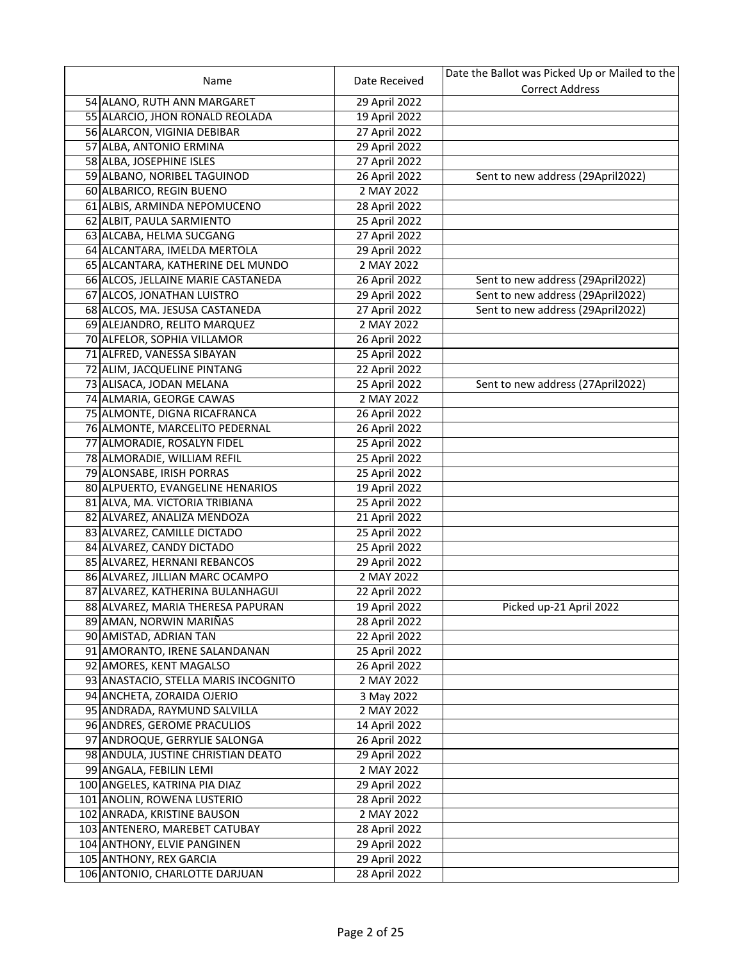|                                      |               | Date the Ballot was Picked Up or Mailed to the |
|--------------------------------------|---------------|------------------------------------------------|
| Name                                 | Date Received | <b>Correct Address</b>                         |
| 54 ALANO, RUTH ANN MARGARET          | 29 April 2022 |                                                |
| 55 ALARCIO, JHON RONALD REOLADA      | 19 April 2022 |                                                |
| 56 ALARCON, VIGINIA DEBIBAR          | 27 April 2022 |                                                |
| 57 ALBA, ANTONIO ERMINA              | 29 April 2022 |                                                |
| 58 ALBA, JOSEPHINE ISLES             | 27 April 2022 |                                                |
| 59 ALBANO, NORIBEL TAGUINOD          | 26 April 2022 | Sent to new address (29April2022)              |
| 60 ALBARICO, REGIN BUENO             | 2 MAY 2022    |                                                |
| 61 ALBIS, ARMINDA NEPOMUCENO         | 28 April 2022 |                                                |
| 62 ALBIT, PAULA SARMIENTO            | 25 April 2022 |                                                |
| 63 ALCABA, HELMA SUCGANG             | 27 April 2022 |                                                |
| 64 ALCANTARA, IMELDA MERTOLA         | 29 April 2022 |                                                |
| 65 ALCANTARA, KATHERINE DEL MUNDO    | 2 MAY 2022    |                                                |
| 66 ALCOS, JELLAINE MARIE CASTAÑEDA   | 26 April 2022 | Sent to new address (29April2022)              |
| 67 ALCOS, JONATHAN LUISTRO           | 29 April 2022 | Sent to new address (29April2022)              |
| 68 ALCOS, MA. JESUSA CASTANEDA       | 27 April 2022 | Sent to new address (29April2022)              |
| 69 ALEJANDRO, RELITO MARQUEZ         | 2 MAY 2022    |                                                |
| 70 ALFELOR, SOPHIA VILLAMOR          | 26 April 2022 |                                                |
| 71 ALFRED, VANESSA SIBAYAN           | 25 April 2022 |                                                |
| 72 ALIM, JACQUELINE PINTANG          | 22 April 2022 |                                                |
| 73 ALISACA, JODAN MELANA             | 25 April 2022 | Sent to new address (27April2022)              |
| 74 ALMARIA, GEORGE CAWAS             | 2 MAY 2022    |                                                |
| 75 ALMONTE, DIGNA RICAFRANCA         | 26 April 2022 |                                                |
| 76 ALMONTE, MARCELITO PEDERNAL       | 26 April 2022 |                                                |
| 77 ALMORADIE, ROSALYN FIDEL          | 25 April 2022 |                                                |
| 78 ALMORADIE, WILLIAM REFIL          | 25 April 2022 |                                                |
| 79 ALONSABE, IRISH PORRAS            | 25 April 2022 |                                                |
| 80 ALPUERTO, EVANGELINE HENARIOS     | 19 April 2022 |                                                |
| 81 ALVA, MA. VICTORIA TRIBIANA       | 25 April 2022 |                                                |
| 82 ALVAREZ, ANALIZA MENDOZA          | 21 April 2022 |                                                |
| 83 ALVAREZ, CAMILLE DICTADO          | 25 April 2022 |                                                |
| 84 ALVAREZ, CANDY DICTADO            | 25 April 2022 |                                                |
| 85 ALVAREZ, HERNANI REBANCOS         | 29 April 2022 |                                                |
| 86 ALVAREZ, JILLIAN MARC OCAMPO      | 2 MAY 2022    |                                                |
| 87 ALVAREZ, KATHERINA BULANHAGUI     | 22 April 2022 |                                                |
| 88 ALVAREZ, MARIA THERESA PAPURAN    | 19 April 2022 | Picked up-21 April 2022                        |
| 89 AMAN, NORWIN MARIÑAS              | 28 April 2022 |                                                |
| 90 AMISTAD, ADRIAN TAN               | 22 April 2022 |                                                |
| 91 AMORANTO, IRENE SALANDANAN        | 25 April 2022 |                                                |
| 92 AMORES, KENT MAGALSO              | 26 April 2022 |                                                |
| 93 ANASTACIO, STELLA MARIS INCOGNITO | 2 MAY 2022    |                                                |
| 94 ANCHETA, ZORAIDA OJERIO           | 3 May 2022    |                                                |
| 95 ANDRADA, RAYMUND SALVILLA         | 2 MAY 2022    |                                                |
| 96 ANDRES, GEROME PRACULIOS          | 14 April 2022 |                                                |
| 97 ANDROQUE, GERRYLIE SALONGA        | 26 April 2022 |                                                |
| 98 ANDULA, JUSTINE CHRISTIAN DEATO   | 29 April 2022 |                                                |
| 99 ANGALA, FEBILIN LEMI              | 2 MAY 2022    |                                                |
| 100 ANGELES, KATRINA PIA DIAZ        | 29 April 2022 |                                                |
| 101 ANOLIN, ROWENA LUSTERIO          | 28 April 2022 |                                                |
| 102 ANRADA, KRISTINE BAUSON          | 2 MAY 2022    |                                                |
| 103 ANTENERO, MAREBET CATUBAY        | 28 April 2022 |                                                |
| 104 ANTHONY, ELVIE PANGINEN          | 29 April 2022 |                                                |
| 105 ANTHONY, REX GARCIA              | 29 April 2022 |                                                |
| 106 ANTONIO, CHARLOTTE DARJUAN       | 28 April 2022 |                                                |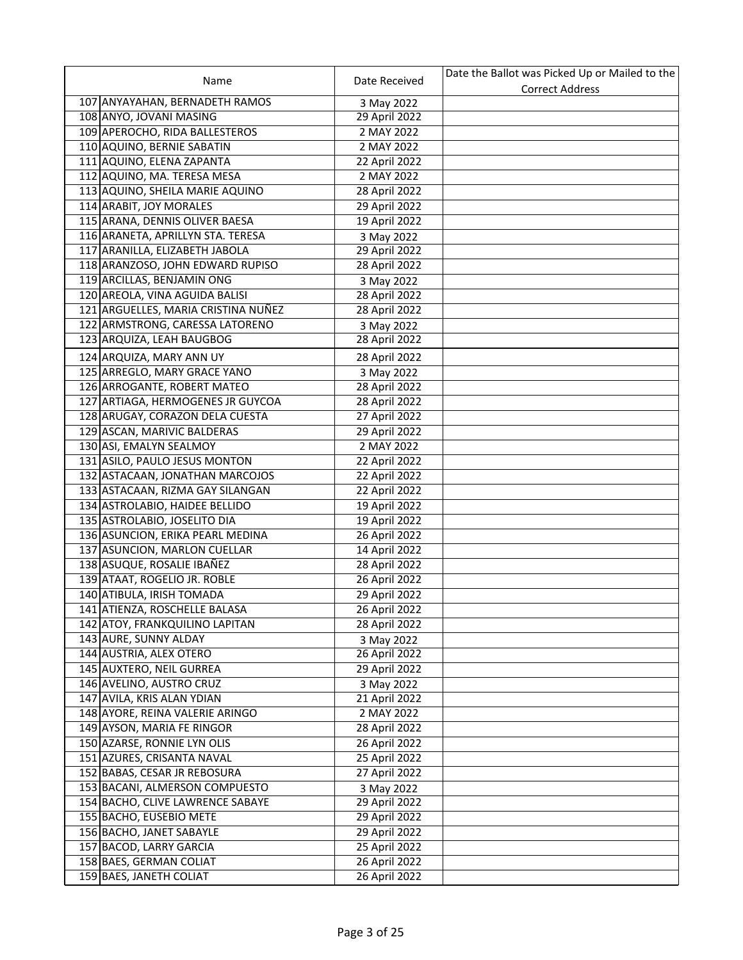|                                                  |               | Date the Ballot was Picked Up or Mailed to the |
|--------------------------------------------------|---------------|------------------------------------------------|
| Name                                             | Date Received | <b>Correct Address</b>                         |
| 107 ANYAYAHAN, BERNADETH RAMOS                   | 3 May 2022    |                                                |
| 108 ANYO, JOVANI MASING                          | 29 April 2022 |                                                |
| 109 APEROCHO, RIDA BALLESTEROS                   | 2 MAY 2022    |                                                |
| 110 AQUINO, BERNIE SABATIN                       | 2 MAY 2022    |                                                |
| 111 AQUINO, ELENA ZAPANTA                        | 22 April 2022 |                                                |
| 112 AQUINO, MA. TERESA MESA                      | 2 MAY 2022    |                                                |
| 113 AQUINO, SHEILA MARIE AQUINO                  | 28 April 2022 |                                                |
| 114 ARABIT, JOY MORALES                          | 29 April 2022 |                                                |
| 115 ARANA, DENNIS OLIVER BAESA                   | 19 April 2022 |                                                |
| 116 ARANETA, APRILLYN STA. TERESA                | 3 May 2022    |                                                |
| 117 ARANILLA, ELIZABETH JABOLA                   | 29 April 2022 |                                                |
| 118 ARANZOSO, JOHN EDWARD RUPISO                 | 28 April 2022 |                                                |
| 119 ARCILLAS, BENJAMIN ONG                       | 3 May 2022    |                                                |
| 120 AREOLA, VINA AGUIDA BALISI                   | 28 April 2022 |                                                |
| 121 ARGUELLES, MARIA CRISTINA NUÑEZ              | 28 April 2022 |                                                |
| 122 ARMSTRONG, CARESSA LATORENO                  | 3 May 2022    |                                                |
| 123 ARQUIZA, LEAH BAUGBOG                        | 28 April 2022 |                                                |
| 124 ARQUIZA, MARY ANN UY                         | 28 April 2022 |                                                |
| 125 ARREGLO, MARY GRACE YANO                     | 3 May 2022    |                                                |
| 126 ARROGANTE, ROBERT MATEO                      | 28 April 2022 |                                                |
| 127 ARTIAGA, HERMOGENES JR GUYCOA                | 28 April 2022 |                                                |
| 128 ARUGAY, CORAZON DELA CUESTA                  | 27 April 2022 |                                                |
| 129 ASCAN, MARIVIC BALDERAS                      | 29 April 2022 |                                                |
| 130 ASI, EMALYN SEALMOY                          | 2 MAY 2022    |                                                |
| 131 ASILO, PAULO JESUS MONTON                    | 22 April 2022 |                                                |
| 132 ASTACAAN, JONATHAN MARCOJOS                  | 22 April 2022 |                                                |
| 133 ASTACAAN, RIZMA GAY SILANGAN                 | 22 April 2022 |                                                |
| 134 ASTROLABIO, HAIDEE BELLIDO                   | 19 April 2022 |                                                |
| 135 ASTROLABIO, JOSELITO DIA                     | 19 April 2022 |                                                |
| 136 ASUNCION, ERIKA PEARL MEDINA                 | 26 April 2022 |                                                |
| 137 ASUNCION, MARLON CUELLAR                     | 14 April 2022 |                                                |
| 138 ASUQUE, ROSALIE IBAÑEZ                       | 28 April 2022 |                                                |
| 139 ATAAT, ROGELIO JR. ROBLE                     | 26 April 2022 |                                                |
| 140 ATIBULA, IRISH TOMADA                        | 29 April 2022 |                                                |
| 141 ATIENZA, ROSCHELLE BALASA                    | 26 April 2022 |                                                |
|                                                  |               |                                                |
| 142 ATOY, FRANKQUILINO LAPITAN                   | 28 April 2022 |                                                |
| 143 AURE, SUNNY ALDAY<br>144 AUSTRIA, ALEX OTERO | 3 May 2022    |                                                |
|                                                  | 26 April 2022 |                                                |
| 145 AUXTERO, NEIL GURREA                         | 29 April 2022 |                                                |
| 146 AVELINO, AUSTRO CRUZ                         | 3 May 2022    |                                                |
| 147 AVILA, KRIS ALAN YDIAN                       | 21 April 2022 |                                                |
| 148 AYORE, REINA VALERIE ARINGO                  | 2 MAY 2022    |                                                |
| 149 AYSON, MARIA FE RINGOR                       | 28 April 2022 |                                                |
| 150 AZARSE, RONNIE LYN OLIS                      | 26 April 2022 |                                                |
| 151 AZURES, CRISANTA NAVAL                       | 25 April 2022 |                                                |
| 152 BABAS, CESAR JR REBOSURA                     | 27 April 2022 |                                                |
| 153 BACANI, ALMERSON COMPUESTO                   | 3 May 2022    |                                                |
| 154 BACHO, CLIVE LAWRENCE SABAYE                 | 29 April 2022 |                                                |
| 155 BACHO, EUSEBIO METE                          | 29 April 2022 |                                                |
| 156 BACHO, JANET SABAYLE                         | 29 April 2022 |                                                |
| 157 BACOD, LARRY GARCIA                          | 25 April 2022 |                                                |
| 158 BAES, GERMAN COLIAT                          | 26 April 2022 |                                                |
| 159 BAES, JANETH COLIAT                          | 26 April 2022 |                                                |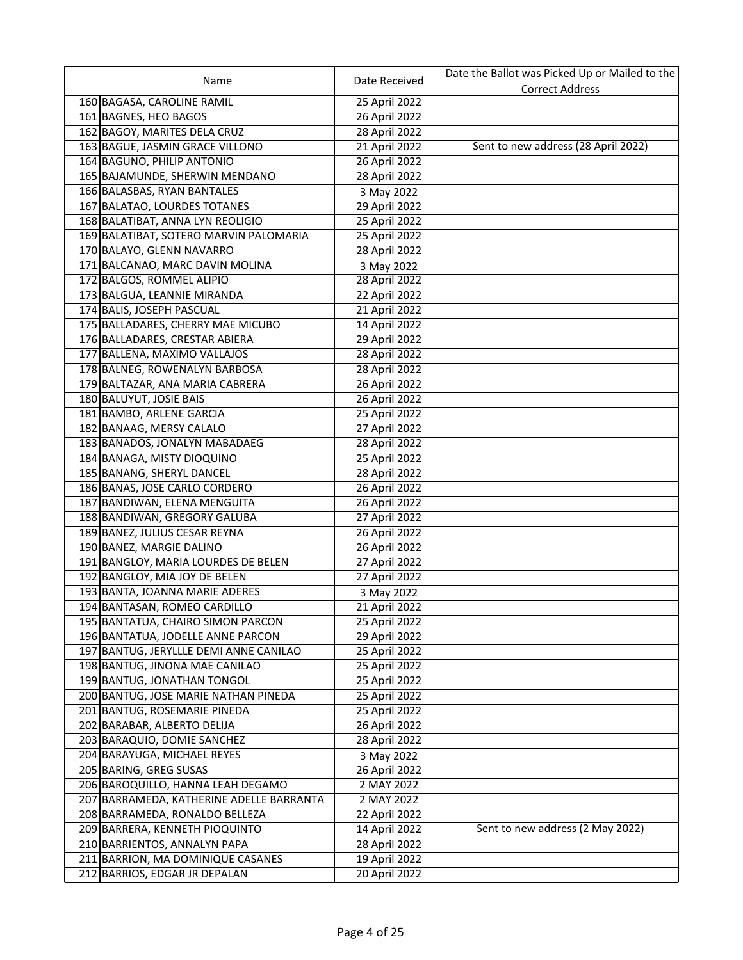|                                          |               | Date the Ballot was Picked Up or Mailed to the |
|------------------------------------------|---------------|------------------------------------------------|
| Name                                     | Date Received | <b>Correct Address</b>                         |
| 160 BAGASA, CAROLINE RAMIL               | 25 April 2022 |                                                |
| 161 BAGNES, HEO BAGOS                    | 26 April 2022 |                                                |
| 162 BAGOY, MARITES DELA CRUZ             | 28 April 2022 |                                                |
| 163 BAGUE, JASMIN GRACE VILLONO          | 21 April 2022 | Sent to new address (28 April 2022)            |
| 164 BAGUNO, PHILIP ANTONIO               | 26 April 2022 |                                                |
| 165 BAJAMUNDE, SHERWIN MENDANO           | 28 April 2022 |                                                |
| 166 BALASBAS, RYAN BANTALES              | 3 May 2022    |                                                |
| 167 BALATAO, LOURDES TOTANES             | 29 April 2022 |                                                |
| 168 BALATIBAT, ANNA LYN REOLIGIO         | 25 April 2022 |                                                |
| 169 BALATIBAT, SOTERO MARVIN PALOMARIA   | 25 April 2022 |                                                |
| 170 BALAYO, GLENN NAVARRO                | 28 April 2022 |                                                |
| 171 BALCANAO, MARC DAVIN MOLINA          | 3 May 2022    |                                                |
| 172 BALGOS, ROMMEL ALIPIO                | 28 April 2022 |                                                |
| 173 BALGUA, LEANNIE MIRANDA              | 22 April 2022 |                                                |
| 174 BALIS, JOSEPH PASCUAL                | 21 April 2022 |                                                |
| 175 BALLADARES, CHERRY MAE MICUBO        | 14 April 2022 |                                                |
| 176 BALLADARES, CRESTAR ABIERA           | 29 April 2022 |                                                |
| 177 BALLENA, MAXIMO VALLAJOS             | 28 April 2022 |                                                |
| 178 BALNEG, ROWENALYN BARBOSA            | 28 April 2022 |                                                |
| 179 BALTAZAR, ANA MARIA CABRERA          | 26 April 2022 |                                                |
| 180 BALUYUT, JOSIE BAIS                  | 26 April 2022 |                                                |
| 181 BAMBO, ARLENE GARCIA                 | 25 April 2022 |                                                |
| 182 BANAAG, MERSY CALALO                 | 27 April 2022 |                                                |
| 183 BAÑADOS, JONALYN MABADAEG            | 28 April 2022 |                                                |
| 184 BANAGA, MISTY DIOQUINO               | 25 April 2022 |                                                |
| 185 BANANG, SHERYL DANCEL                | 28 April 2022 |                                                |
| 186 BANAS, JOSE CARLO CORDERO            | 26 April 2022 |                                                |
| 187 BANDIWAN, ELENA MENGUITA             | 26 April 2022 |                                                |
| 188 BANDIWAN, GREGORY GALUBA             | 27 April 2022 |                                                |
| 189 BANEZ, JULIUS CESAR REYNA            | 26 April 2022 |                                                |
| 190 BANEZ, MARGIE DALINO                 | 26 April 2022 |                                                |
| 191 BANGLOY, MARIA LOURDES DE BELEN      | 27 April 2022 |                                                |
| 192 BANGLOY, MIA JOY DE BELEN            | 27 April 2022 |                                                |
| 193 BANTA, JOANNA MARIE ADERES           | 3 May 2022    |                                                |
| 194 BANTASAN, ROMEO CARDILLO             | 21 April 2022 |                                                |
| 195 BANTATUA, CHAIRO SIMON PARCON        | 25 April 2022 |                                                |
| 196 BANTATUA, JODELLE ANNE PARCON        | 29 April 2022 |                                                |
| 197 BANTUG, JERYLLLE DEMI ANNE CANILAO   | 25 April 2022 |                                                |
| 198 BANTUG, JINONA MAE CANILAO           | 25 April 2022 |                                                |
| 199 BANTUG, JONATHAN TONGOL              | 25 April 2022 |                                                |
| 200 BANTUG, JOSE MARIE NATHAN PINEDA     | 25 April 2022 |                                                |
| 201 BANTUG, ROSEMARIE PINEDA             | 25 April 2022 |                                                |
| 202 BARABAR, ALBERTO DELIJA              | 26 April 2022 |                                                |
| 203 BARAQUIO, DOMIE SANCHEZ              | 28 April 2022 |                                                |
| 204 BARAYUGA, MICHAEL REYES              | 3 May 2022    |                                                |
| 205 BARING, GREG SUSAS                   | 26 April 2022 |                                                |
| 206 BAROQUILLO, HANNA LEAH DEGAMO        | 2 MAY 2022    |                                                |
| 207 BARRAMEDA, KATHERINE ADELLE BARRANTA | 2 MAY 2022    |                                                |
| 208 BARRAMEDA, RONALDO BELLEZA           | 22 April 2022 |                                                |
| 209 BARRERA, KENNETH PIOQUINTO           | 14 April 2022 | Sent to new address (2 May 2022)               |
| 210 BARRIENTOS, ANNALYN PAPA             | 28 April 2022 |                                                |
| 211 BARRION, MA DOMINIQUE CASANES        | 19 April 2022 |                                                |
| 212 BARRIOS, EDGAR JR DEPALAN            | 20 April 2022 |                                                |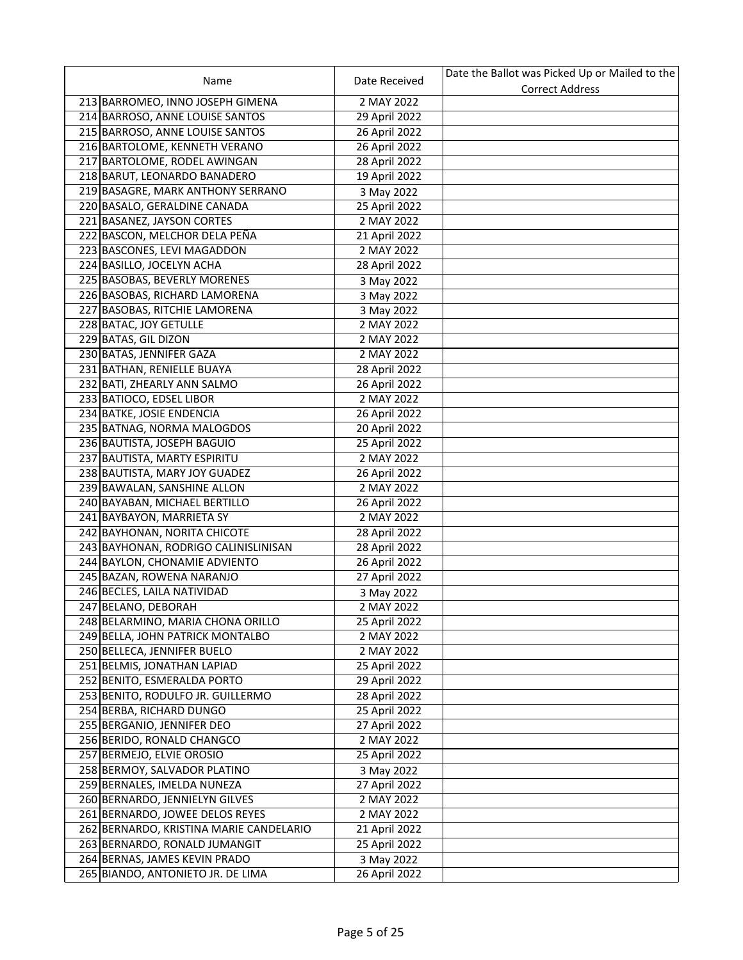|                                         |               | Date the Ballot was Picked Up or Mailed to the |
|-----------------------------------------|---------------|------------------------------------------------|
| Name                                    | Date Received | <b>Correct Address</b>                         |
| 213 BARROMEO, INNO JOSEPH GIMENA        | 2 MAY 2022    |                                                |
| 214 BARROSO, ANNE LOUISE SANTOS         | 29 April 2022 |                                                |
| 215 BARROSO, ANNE LOUISE SANTOS         | 26 April 2022 |                                                |
| 216 BARTOLOME, KENNETH VERANO           | 26 April 2022 |                                                |
| 217 BARTOLOME, RODEL AWINGAN            | 28 April 2022 |                                                |
| 218 BARUT, LEONARDO BANADERO            | 19 April 2022 |                                                |
| 219 BASAGRE, MARK ANTHONY SERRANO       | 3 May 2022    |                                                |
| 220 BASALO, GERALDINE CANADA            | 25 April 2022 |                                                |
| 221 BASANEZ, JAYSON CORTES              | 2 MAY 2022    |                                                |
| 222 BASCON, MELCHOR DELA PEÑA           | 21 April 2022 |                                                |
| 223 BASCONES, LEVI MAGADDON             | 2 MAY 2022    |                                                |
| 224 BASILLO, JOCELYN ACHA               | 28 April 2022 |                                                |
| 225 BASOBAS, BEVERLY MORENES            | 3 May 2022    |                                                |
| 226 BASOBAS, RICHARD LAMORENA           | 3 May 2022    |                                                |
| 227 BASOBAS, RITCHIE LAMORENA           | 3 May 2022    |                                                |
| 228 BATAC, JOY GETULLE                  | 2 MAY 2022    |                                                |
| 229 BATAS, GIL DIZON                    | 2 MAY 2022    |                                                |
| 230 BATAS, JENNIFER GAZA                | 2 MAY 2022    |                                                |
| 231 BATHAN, RENIELLE BUAYA              | 28 April 2022 |                                                |
| 232 BATI, ZHEARLY ANN SALMO             | 26 April 2022 |                                                |
| 233 BATIOCO, EDSEL LIBOR                | 2 MAY 2022    |                                                |
| 234 BATKE, JOSIE ENDENCIA               | 26 April 2022 |                                                |
| 235 BATNAG, NORMA MALOGDOS              | 20 April 2022 |                                                |
| 236 BAUTISTA, JOSEPH BAGUIO             | 25 April 2022 |                                                |
| 237 BAUTISTA, MARTY ESPIRITU            | 2 MAY 2022    |                                                |
| 238 BAUTISTA, MARY JOY GUADEZ           | 26 April 2022 |                                                |
| 239 BAWALAN, SANSHINE ALLON             | 2 MAY 2022    |                                                |
| 240 BAYABAN, MICHAEL BERTILLO           | 26 April 2022 |                                                |
| 241 BAYBAYON, MARRIETA SY               | 2 MAY 2022    |                                                |
| 242 BAYHONAN, NORITA CHICOTE            | 28 April 2022 |                                                |
| 243 BAYHONAN, RODRIGO CALINISLINISAN    | 28 April 2022 |                                                |
| 244 BAYLON, CHONAMIE ADVIENTO           | 26 April 2022 |                                                |
| 245 BAZAN, ROWENA NARANJO               | 27 April 2022 |                                                |
| 246 BECLES, LAILA NATIVIDAD             | 3 May 2022    |                                                |
| 247 BELANO, DEBORAH                     | 2 MAY 2022    |                                                |
| 248 BELARMINO, MARIA CHONA ORILLO       | 25 April 2022 |                                                |
| 249 BELLA, JOHN PATRICK MONTALBO        | 2 MAY 2022    |                                                |
| 250 BELLECA, JENNIFER BUELO             | 2 MAY 2022    |                                                |
| 251 BELMIS, JONATHAN LAPIAD             | 25 April 2022 |                                                |
| 252 BENITO, ESMERALDA PORTO             | 29 April 2022 |                                                |
| 253 BENITO, RODULFO JR. GUILLERMO       | 28 April 2022 |                                                |
| 254 BERBA, RICHARD DUNGO                | 25 April 2022 |                                                |
| 255 BERGANIO, JENNIFER DEO              | 27 April 2022 |                                                |
| 256 BERIDO, RONALD CHANGCO              | 2 MAY 2022    |                                                |
| 257 BERMEJO, ELVIE OROSIO               | 25 April 2022 |                                                |
| 258 BERMOY, SALVADOR PLATINO            | 3 May 2022    |                                                |
| 259 BERNALES, IMELDA NUNEZA             | 27 April 2022 |                                                |
| 260 BERNARDO, JENNIELYN GILVES          | 2 MAY 2022    |                                                |
| 261 BERNARDO, JOWEE DELOS REYES         | 2 MAY 2022    |                                                |
| 262 BERNARDO, KRISTINA MARIE CANDELARIO | 21 April 2022 |                                                |
| 263 BERNARDO, RONALD JUMANGIT           | 25 April 2022 |                                                |
| 264 BERNAS, JAMES KEVIN PRADO           | 3 May 2022    |                                                |
| 265 BIANDO, ANTONIETO JR. DE LIMA       | 26 April 2022 |                                                |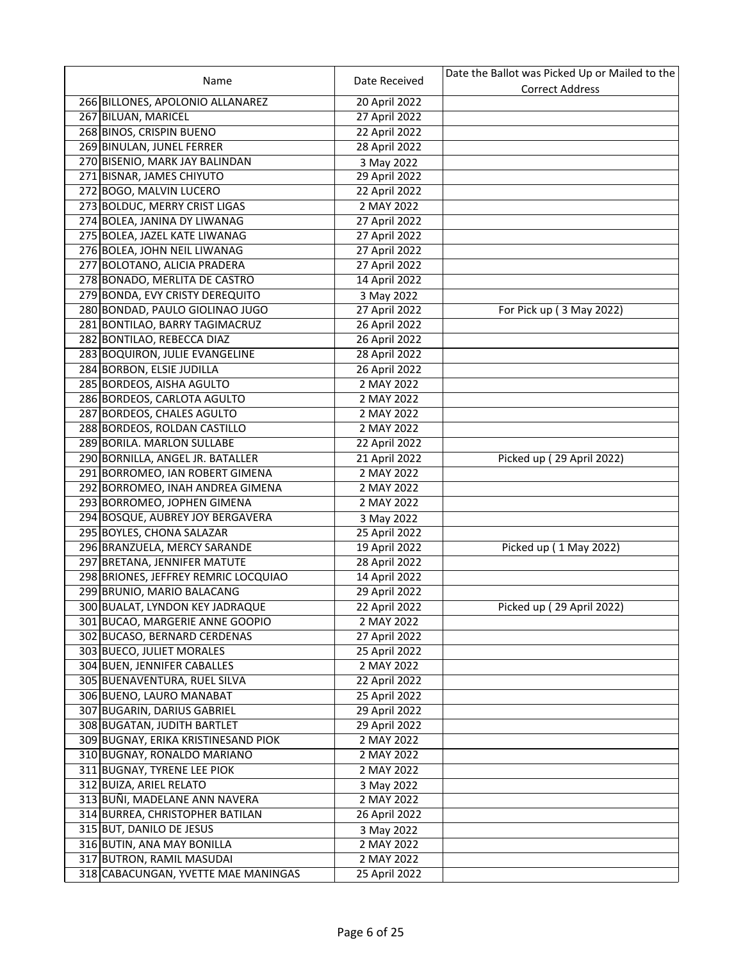|                                      |               | Date the Ballot was Picked Up or Mailed to the |
|--------------------------------------|---------------|------------------------------------------------|
| Name                                 | Date Received | <b>Correct Address</b>                         |
| 266 BILLONES, APOLONIO ALLANAREZ     | 20 April 2022 |                                                |
| 267 BILUAN, MARICEL                  | 27 April 2022 |                                                |
| 268 BINOS, CRISPIN BUENO             | 22 April 2022 |                                                |
| 269 BINULAN, JUNEL FERRER            | 28 April 2022 |                                                |
| 270 BISENIO, MARK JAY BALINDAN       | 3 May 2022    |                                                |
| 271 BISNAR, JAMES CHIYUTO            | 29 April 2022 |                                                |
| 272 BOGO, MALVIN LUCERO              | 22 April 2022 |                                                |
| 273 BOLDUC, MERRY CRIST LIGAS        | 2 MAY 2022    |                                                |
| 274 BOLEA, JANINA DY LIWANAG         | 27 April 2022 |                                                |
| 275 BOLEA, JAZEL KATE LIWANAG        | 27 April 2022 |                                                |
| 276 BOLEA, JOHN NEIL LIWANAG         | 27 April 2022 |                                                |
| 277 BOLOTANO, ALICIA PRADERA         | 27 April 2022 |                                                |
| 278 BONADO, MERLITA DE CASTRO        | 14 April 2022 |                                                |
| 279 BONDA, EVY CRISTY DEREQUITO      | 3 May 2022    |                                                |
| 280 BONDAD, PAULO GIOLINAO JUGO      | 27 April 2022 | For Pick up (3 May 2022)                       |
| 281 BONTILAO, BARRY TAGIMACRUZ       | 26 April 2022 |                                                |
| 282 BONTILAO, REBECCA DIAZ           | 26 April 2022 |                                                |
| 283 BOQUIRON, JULIE EVANGELINE       | 28 April 2022 |                                                |
| 284 BORBON, ELSIE JUDILLA            | 26 April 2022 |                                                |
| 285 BORDEOS, AISHA AGULTO            | 2 MAY 2022    |                                                |
| 286 BORDEOS, CARLOTA AGULTO          | 2 MAY 2022    |                                                |
| 287 BORDEOS, CHALES AGULTO           | 2 MAY 2022    |                                                |
|                                      |               |                                                |
| 288 BORDEOS, ROLDAN CASTILLO         | 2 MAY 2022    |                                                |
| 289 BORILA. MARLON SULLABE           | 22 April 2022 |                                                |
| 290 BORNILLA, ANGEL JR. BATALLER     | 21 April 2022 | Picked up (29 April 2022)                      |
| 291 BORROMEO, IAN ROBERT GIMENA      | 2 MAY 2022    |                                                |
| 292 BORROMEO, INAH ANDREA GIMENA     | 2 MAY 2022    |                                                |
| 293 BORROMEO, JOPHEN GIMENA          | 2 MAY 2022    |                                                |
| 294 BOSQUE, AUBREY JOY BERGAVERA     | 3 May 2022    |                                                |
| 295 BOYLES, CHONA SALAZAR            | 25 April 2022 |                                                |
| 296 BRANZUELA, MERCY SARANDE         | 19 April 2022 | Picked up (1 May 2022)                         |
| 297 BRETANA, JENNIFER MATUTE         | 28 April 2022 |                                                |
| 298 BRIONES, JEFFREY REMRIC LOCQUIAO | 14 April 2022 |                                                |
| 299 BRUNIO, MARIO BALACANG           | 29 April 2022 |                                                |
| 300 BUALAT, LYNDON KEY JADRAQUE      | 22 April 2022 | Picked up (29 April 2022)                      |
| 301 BUCAO, MARGERIE ANNE GOOPIO      | 2 MAY 2022    |                                                |
| 302 BUCASO, BERNARD CERDENAS         | 27 April 2022 |                                                |
| 303 BUECO, JULIET MORALES            | 25 April 2022 |                                                |
| 304 BUEN, JENNIFER CABALLES          | 2 MAY 2022    |                                                |
| 305 BUENAVENTURA, RUEL SILVA         | 22 April 2022 |                                                |
| 306 BUENO, LAURO MANABAT             | 25 April 2022 |                                                |
| 307 BUGARIN, DARIUS GABRIEL          | 29 April 2022 |                                                |
| 308 BUGATAN, JUDITH BARTLET          | 29 April 2022 |                                                |
| 309 BUGNAY, ERIKA KRISTINESAND PIOK  | 2 MAY 2022    |                                                |
| 310 BUGNAY, RONALDO MARIANO          | 2 MAY 2022    |                                                |
| 311 BUGNAY, TYRENE LEE PIOK          | 2 MAY 2022    |                                                |
| 312 BUIZA, ARIEL RELATO              | 3 May 2022    |                                                |
| 313 BUÑI, MADELANE ANN NAVERA        | 2 MAY 2022    |                                                |
| 314 BURREA, CHRISTOPHER BATILAN      | 26 April 2022 |                                                |
| 315 BUT, DANILO DE JESUS             | 3 May 2022    |                                                |
| 316 BUTIN, ANA MAY BONILLA           | 2 MAY 2022    |                                                |
| 317 BUTRON, RAMIL MASUDAI            | 2 MAY 2022    |                                                |
| 318 CABACUNGAN, YVETTE MAE MANINGAS  | 25 April 2022 |                                                |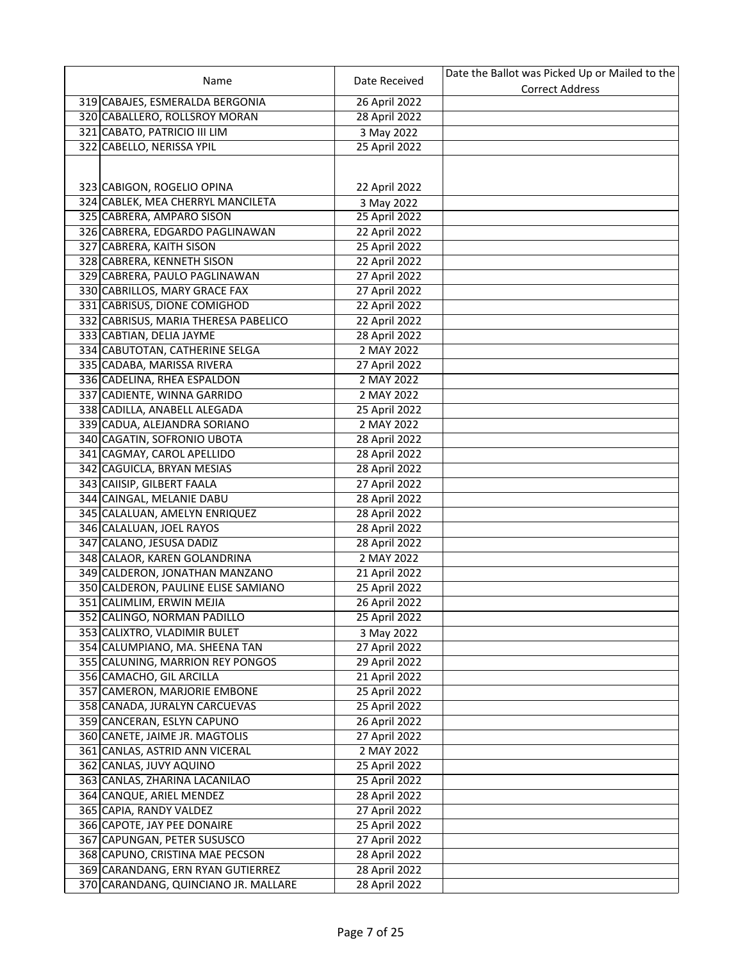| Name                                                               | Date Received                  | Date the Ballot was Picked Up or Mailed to the |
|--------------------------------------------------------------------|--------------------------------|------------------------------------------------|
|                                                                    |                                | <b>Correct Address</b>                         |
| 319 CABAJES, ESMERALDA BERGONIA                                    | 26 April 2022                  |                                                |
| 320 CABALLERO, ROLLSROY MORAN                                      | 28 April 2022                  |                                                |
| 321 CABATO, PATRICIO III LIM                                       | 3 May 2022                     |                                                |
| 322 CABELLO, NERISSA YPIL                                          | 25 April 2022                  |                                                |
|                                                                    |                                |                                                |
|                                                                    |                                |                                                |
| 323 CABIGON, ROGELIO OPINA                                         | 22 April 2022                  |                                                |
| 324 CABLEK, MEA CHERRYL MANCILETA                                  | 3 May 2022                     |                                                |
| 325 CABRERA, AMPARO SISON<br>326 CABRERA, EDGARDO PAGLINAWAN       | 25 April 2022                  |                                                |
|                                                                    | 22 April 2022                  |                                                |
| 327 CABRERA, KAITH SISON                                           | 25 April 2022                  |                                                |
| 328 CABRERA, KENNETH SISON<br>329 CABRERA, PAULO PAGLINAWAN        | 22 April 2022<br>27 April 2022 |                                                |
|                                                                    | 27 April 2022                  |                                                |
| 330 CABRILLOS, MARY GRACE FAX                                      |                                |                                                |
| 331 CABRISUS, DIONE COMIGHOD                                       | 22 April 2022                  |                                                |
| 332 CABRISUS, MARIA THERESA PABELICO                               | 22 April 2022                  |                                                |
| 333 CABTIAN, DELIA JAYME                                           | 28 April 2022                  |                                                |
| 334 CABUTOTAN, CATHERINE SELGA<br>335 CADABA, MARISSA RIVERA       | 2 MAY 2022                     |                                                |
|                                                                    | 27 April 2022                  |                                                |
| 336 CADELINA, RHEA ESPALDON                                        | 2 MAY 2022                     |                                                |
| 337 CADIENTE, WINNA GARRIDO                                        | 2 MAY 2022                     |                                                |
| 338 CADILLA, ANABELL ALEGADA                                       | 25 April 2022                  |                                                |
| 339 CADUA, ALEJANDRA SORIANO                                       | 2 MAY 2022                     |                                                |
| 340 CAGATIN, SOFRONIO UBOTA                                        | 28 April 2022                  |                                                |
| 341 CAGMAY, CAROL APELLIDO                                         | 28 April 2022                  |                                                |
| 342 CAGUICLA, BRYAN MESIAS                                         | 28 April 2022                  |                                                |
| 343 CAIISIP, GILBERT FAALA                                         | 27 April 2022                  |                                                |
| 344 CAINGAL, MELANIE DABU                                          | 28 April 2022                  |                                                |
| 345 CALALUAN, AMELYN ENRIQUEZ                                      | 28 April 2022                  |                                                |
| 346 CALALUAN, JOEL RAYOS                                           | 28 April 2022                  |                                                |
| 347 CALANO, JESUSA DADIZ<br>348 CALAOR, KAREN GOLANDRINA           | 28 April 2022<br>2 MAY 2022    |                                                |
| 349 CALDERON, JONATHAN MANZANO                                     |                                |                                                |
|                                                                    | 21 April 2022                  |                                                |
| 350 CALDERON, PAULINE ELISE SAMIANO                                | 25 April 2022<br>26 April 2022 |                                                |
| 351 CALIMLIM, ERWIN MEJIA                                          |                                |                                                |
| 352 CALINGO, NORMAN PADILLO                                        | 25 April 2022                  |                                                |
| 353 CALIXTRO, VLADIMIR BULET                                       | 3 May 2022                     |                                                |
| 354 CALUMPIANO, MA. SHEENA TAN<br>355 CALUNING, MARRION REY PONGOS | 27 April 2022<br>29 April 2022 |                                                |
| 356 CAMACHO, GIL ARCILLA                                           |                                |                                                |
|                                                                    | 21 April 2022<br>25 April 2022 |                                                |
| 357 CAMERON, MARJORIE EMBONE<br>358 CANADA, JURALYN CARCUEVAS      | 25 April 2022                  |                                                |
| 359 CANCERAN, ESLYN CAPUNO                                         | 26 April 2022                  |                                                |
| 360 CANETE, JAIME JR. MAGTOLIS                                     | 27 April 2022                  |                                                |
| 361 CANLAS, ASTRID ANN VICERAL                                     | 2 MAY 2022                     |                                                |
| 362 CANLAS, JUVY AQUINO                                            | 25 April 2022                  |                                                |
| 363 CANLAS, ZHARINA LACANILAO                                      | 25 April 2022                  |                                                |
| 364 CANQUE, ARIEL MENDEZ                                           | 28 April 2022                  |                                                |
| 365 CAPIA, RANDY VALDEZ                                            | 27 April 2022                  |                                                |
| 366 CAPOTE, JAY PEE DONAIRE                                        | 25 April 2022                  |                                                |
| 367 CAPUNGAN, PETER SUSUSCO                                        | 27 April 2022                  |                                                |
| 368 CAPUNO, CRISTINA MAE PECSON                                    | 28 April 2022                  |                                                |
| 369 CARANDANG, ERN RYAN GUTIERREZ                                  | 28 April 2022                  |                                                |
| 370 CARANDANG, QUINCIANO JR. MALLARE                               | 28 April 2022                  |                                                |
|                                                                    |                                |                                                |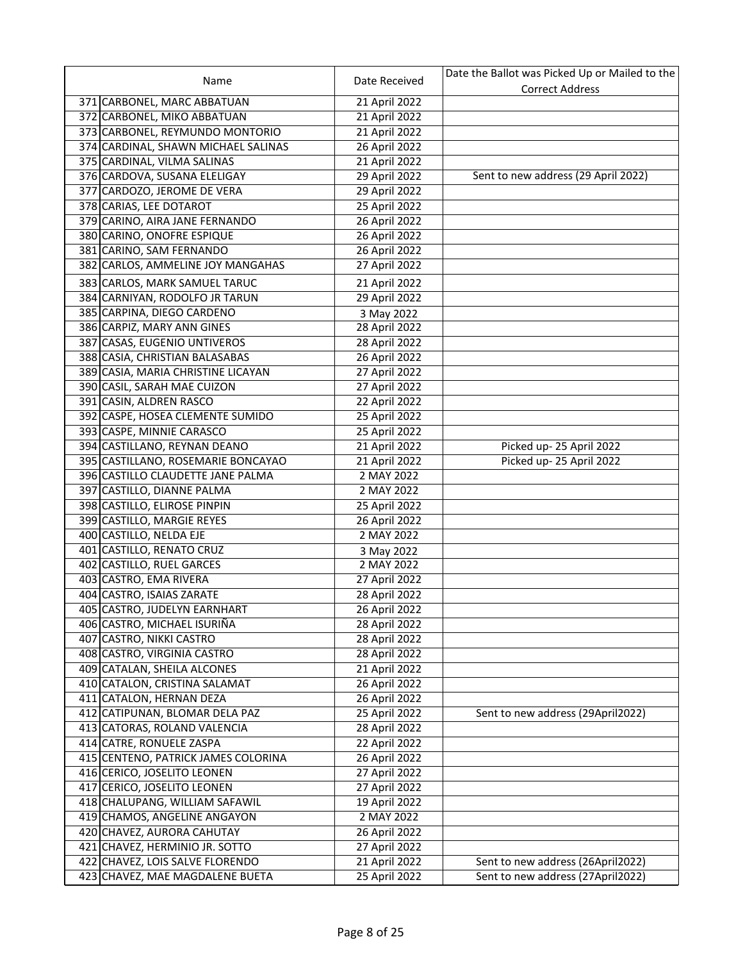|                                                                |                             | Date the Ballot was Picked Up or Mailed to the |
|----------------------------------------------------------------|-----------------------------|------------------------------------------------|
| Name                                                           | Date Received               | <b>Correct Address</b>                         |
| 371 CARBONEL, MARC ABBATUAN                                    | 21 April 2022               |                                                |
| 372 CARBONEL, MIKO ABBATUAN                                    | 21 April 2022               |                                                |
| 373 CARBONEL, REYMUNDO MONTORIO                                | 21 April 2022               |                                                |
| 374 CARDINAL, SHAWN MICHAEL SALINAS                            | 26 April 2022               |                                                |
| 375 CARDINAL, VILMA SALINAS                                    | 21 April 2022               |                                                |
| 376 CARDOVA, SUSANA ELELIGAY                                   | 29 April 2022               | Sent to new address (29 April 2022)            |
| 377 CARDOZO, JEROME DE VERA                                    | 29 April 2022               |                                                |
| 378 CARIAS, LEE DOTAROT                                        | 25 April 2022               |                                                |
| 379 CARINO, AIRA JANE FERNANDO                                 | 26 April 2022               |                                                |
| 380 CARINO, ONOFRE ESPIQUE                                     | 26 April 2022               |                                                |
| 381 CARINO, SAM FERNANDO                                       | 26 April 2022               |                                                |
| 382 CARLOS, AMMELINE JOY MANGAHAS                              | 27 April 2022               |                                                |
| 383 CARLOS, MARK SAMUEL TARUC                                  | 21 April 2022               |                                                |
| 384 CARNIYAN, RODOLFO JR TARUN                                 | 29 April 2022               |                                                |
| 385 CARPINA, DIEGO CARDENO                                     |                             |                                                |
| 386 CARPIZ, MARY ANN GINES                                     | 3 May 2022<br>28 April 2022 |                                                |
|                                                                |                             |                                                |
| 387 CASAS, EUGENIO UNTIVEROS<br>388 CASIA, CHRISTIAN BALASABAS | 28 April 2022               |                                                |
|                                                                | 26 April 2022               |                                                |
| 389 CASIA, MARIA CHRISTINE LICAYAN                             | 27 April 2022               |                                                |
| 390 CASIL, SARAH MAE CUIZON                                    | 27 April 2022               |                                                |
| 391 CASIN, ALDREN RASCO                                        | 22 April 2022               |                                                |
| 392 CASPE, HOSEA CLEMENTE SUMIDO                               | 25 April 2022               |                                                |
| 393 CASPE, MINNIE CARASCO                                      | 25 April 2022               |                                                |
| 394 CASTILLANO, REYNAN DEANO                                   | 21 April 2022               | Picked up-25 April 2022                        |
| 395 CASTILLANO, ROSEMARIE BONCAYAO                             | 21 April 2022               | Picked up-25 April 2022                        |
| 396 CASTILLO CLAUDETTE JANE PALMA                              | 2 MAY 2022                  |                                                |
| 397 CASTILLO, DIANNE PALMA                                     | 2 MAY 2022                  |                                                |
| 398 CASTILLO, ELIROSE PINPIN                                   | 25 April 2022               |                                                |
| 399 CASTILLO, MARGIE REYES                                     | 26 April 2022               |                                                |
| 400 CASTILLO, NELDA EJE                                        | 2 MAY 2022                  |                                                |
| 401 CASTILLO, RENATO CRUZ                                      | 3 May 2022                  |                                                |
| 402 CASTILLO, RUEL GARCES                                      | 2 MAY 2022                  |                                                |
| 403 CASTRO, EMA RIVERA                                         | 27 April 2022               |                                                |
| 404 CASTRO, ISAIAS ZARATE                                      | 28 April 2022               |                                                |
| 405 CASTRO, JUDELYN EARNHART                                   | 26 April 2022               |                                                |
| 406 CASTRO, MICHAEL ISURIÑA                                    | 28 April 2022               |                                                |
| 407 CASTRO, NIKKI CASTRO                                       | 28 April 2022               |                                                |
| 408 CASTRO, VIRGINIA CASTRO                                    | 28 April 2022               |                                                |
| 409 CATALAN, SHEILA ALCONES                                    | 21 April 2022               |                                                |
| 410 CATALON, CRISTINA SALAMAT                                  | 26 April 2022               |                                                |
| 411 CATALON, HERNAN DEZA                                       | 26 April 2022               |                                                |
| 412 CATIPUNAN, BLOMAR DELA PAZ                                 | 25 April 2022               | Sent to new address (29April2022)              |
| 413 CATORAS, ROLAND VALENCIA                                   | 28 April 2022               |                                                |
| 414 CATRE, RONUELE ZASPA                                       | 22 April 2022               |                                                |
| 415 CENTENO, PATRICK JAMES COLORINA                            | 26 April 2022               |                                                |
| 416 CERICO, JOSELITO LEONEN                                    | 27 April 2022               |                                                |
| 417 CERICO, JOSELITO LEONEN                                    | 27 April 2022               |                                                |
| 418 CHALUPANG, WILLIAM SAFAWIL                                 | 19 April 2022               |                                                |
| 419 CHAMOS, ANGELINE ANGAYON                                   | 2 MAY 2022                  |                                                |
| 420 CHAVEZ, AURORA CAHUTAY                                     | 26 April 2022               |                                                |
| 421 CHAVEZ, HERMINIO JR. SOTTO                                 | 27 April 2022               |                                                |
| 422 CHAVEZ, LOIS SALVE FLORENDO                                | 21 April 2022               | Sent to new address (26April2022)              |
| 423 CHAVEZ, MAE MAGDALENE BUETA                                | 25 April 2022               | Sent to new address (27April2022)              |
|                                                                |                             |                                                |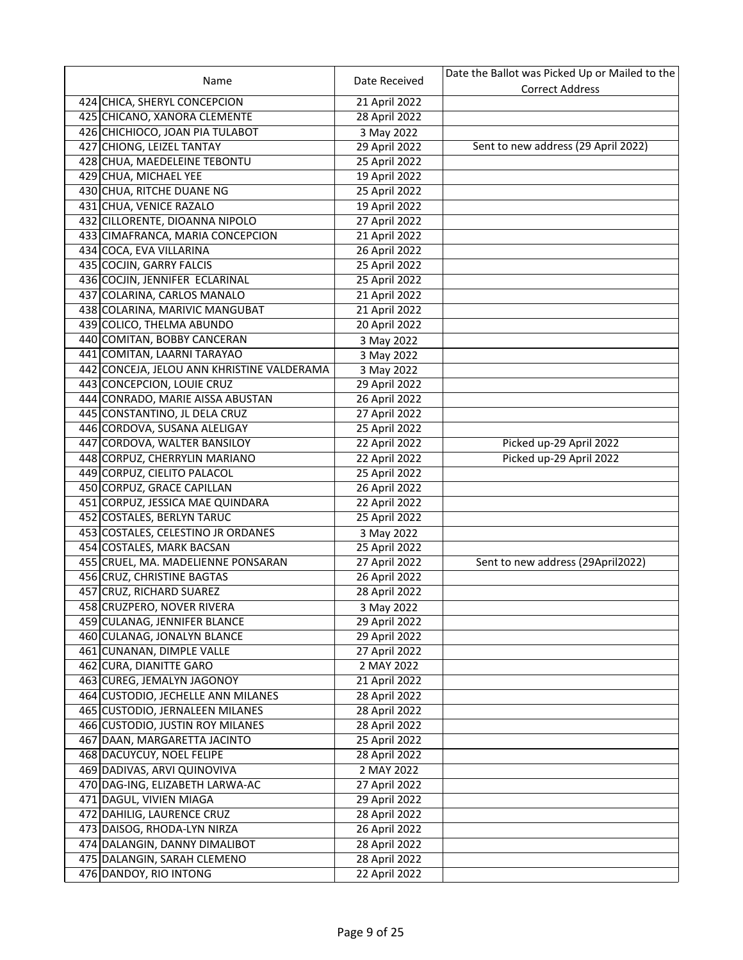|                                            |               | Date the Ballot was Picked Up or Mailed to the |
|--------------------------------------------|---------------|------------------------------------------------|
| Name                                       | Date Received | <b>Correct Address</b>                         |
| 424 CHICA, SHERYL CONCEPCION               | 21 April 2022 |                                                |
| 425 CHICANO, XANORA CLEMENTE               | 28 April 2022 |                                                |
| 426 CHICHIOCO, JOAN PIA TULABOT            | 3 May 2022    |                                                |
| 427 CHIONG, LEIZEL TANTAY                  | 29 April 2022 | Sent to new address (29 April 2022)            |
| 428 CHUA, MAEDELEINE TEBONTU               | 25 April 2022 |                                                |
| 429 CHUA, MICHAEL YEE                      | 19 April 2022 |                                                |
| 430 CHUA, RITCHE DUANE NG                  | 25 April 2022 |                                                |
| 431 CHUA, VENICE RAZALO                    | 19 April 2022 |                                                |
| 432 CILLORENTE, DIOANNA NIPOLO             | 27 April 2022 |                                                |
| 433 CIMAFRANCA, MARIA CONCEPCION           | 21 April 2022 |                                                |
| 434 COCA, EVA VILLARINA                    | 26 April 2022 |                                                |
| 435 COCJIN, GARRY FALCIS                   | 25 April 2022 |                                                |
| 436 COCJIN, JENNIFER ECLARINAL             | 25 April 2022 |                                                |
| 437 COLARINA, CARLOS MANALO                | 21 April 2022 |                                                |
| 438 COLARINA, MARIVIC MANGUBAT             | 21 April 2022 |                                                |
| 439 COLICO, THELMA ABUNDO                  | 20 April 2022 |                                                |
| 440 COMITAN, BOBBY CANCERAN                | 3 May 2022    |                                                |
| 441 COMITAN, LAARNI TARAYAO                | 3 May 2022    |                                                |
| 442 CONCEJA, JELOU ANN KHRISTINE VALDERAMA | 3 May 2022    |                                                |
| 443 CONCEPCION, LOUIE CRUZ                 | 29 April 2022 |                                                |
| 444 CONRADO, MARIE AISSA ABUSTAN           | 26 April 2022 |                                                |
| 445 CONSTANTINO, JL DELA CRUZ              | 27 April 2022 |                                                |
| 446 CORDOVA, SUSANA ALELIGAY               | 25 April 2022 |                                                |
| 447 CORDOVA, WALTER BANSILOY               | 22 April 2022 | Picked up-29 April 2022                        |
| 448 CORPUZ, CHERRYLIN MARIANO              | 22 April 2022 | Picked up-29 April 2022                        |
| 449 CORPUZ, CIELITO PALACOL                | 25 April 2022 |                                                |
| 450 CORPUZ, GRACE CAPILLAN                 | 26 April 2022 |                                                |
| 451 CORPUZ, JESSICA MAE QUINDARA           | 22 April 2022 |                                                |
| 452 COSTALES, BERLYN TARUC                 | 25 April 2022 |                                                |
| 453 COSTALES, CELESTINO JR ORDANES         | 3 May 2022    |                                                |
| 454 COSTALES, MARK BACSAN                  | 25 April 2022 |                                                |
| 455 CRUEL, MA. MADELIENNE PONSARAN         | 27 April 2022 | Sent to new address (29April2022)              |
| 456 CRUZ, CHRISTINE BAGTAS                 | 26 April 2022 |                                                |
| 457 CRUZ, RICHARD SUAREZ                   | 28 April 2022 |                                                |
| 458 CRUZPERO, NOVER RIVERA                 | 3 May 2022    |                                                |
| 459 CULANAG, JENNIFER BLANCE               | 29 April 2022 |                                                |
| 460 CULANAG, JONALYN BLANCE                | 29 April 2022 |                                                |
| 461 CUNANAN, DIMPLE VALLE                  | 27 April 2022 |                                                |
| 462 CURA, DIANITTE GARO                    | 2 MAY 2022    |                                                |
| 463 CUREG, JEMALYN JAGONOY                 | 21 April 2022 |                                                |
| 464 CUSTODIO, JECHELLE ANN MILANES         | 28 April 2022 |                                                |
| 465 CUSTODIO, JERNALEEN MILANES            | 28 April 2022 |                                                |
| 466 CUSTODIO, JUSTIN ROY MILANES           | 28 April 2022 |                                                |
| 467 DAAN, MARGARETTA JACINTO               | 25 April 2022 |                                                |
| 468 DACUYCUY, NOEL FELIPE                  | 28 April 2022 |                                                |
| 469 DADIVAS, ARVI QUINOVIVA                | 2 MAY 2022    |                                                |
| 470 DAG-ING, ELIZABETH LARWA-AC            | 27 April 2022 |                                                |
| 471 DAGUL, VIVIEN MIAGA                    | 29 April 2022 |                                                |
| 472 DAHILIG, LAURENCE CRUZ                 | 28 April 2022 |                                                |
| 473 DAISOG, RHODA-LYN NIRZA                | 26 April 2022 |                                                |
| 474 DALANGIN, DANNY DIMALIBOT              | 28 April 2022 |                                                |
| 475 DALANGIN, SARAH CLEMENO                | 28 April 2022 |                                                |
| 476 DANDOY, RIO INTONG                     | 22 April 2022 |                                                |
|                                            |               |                                                |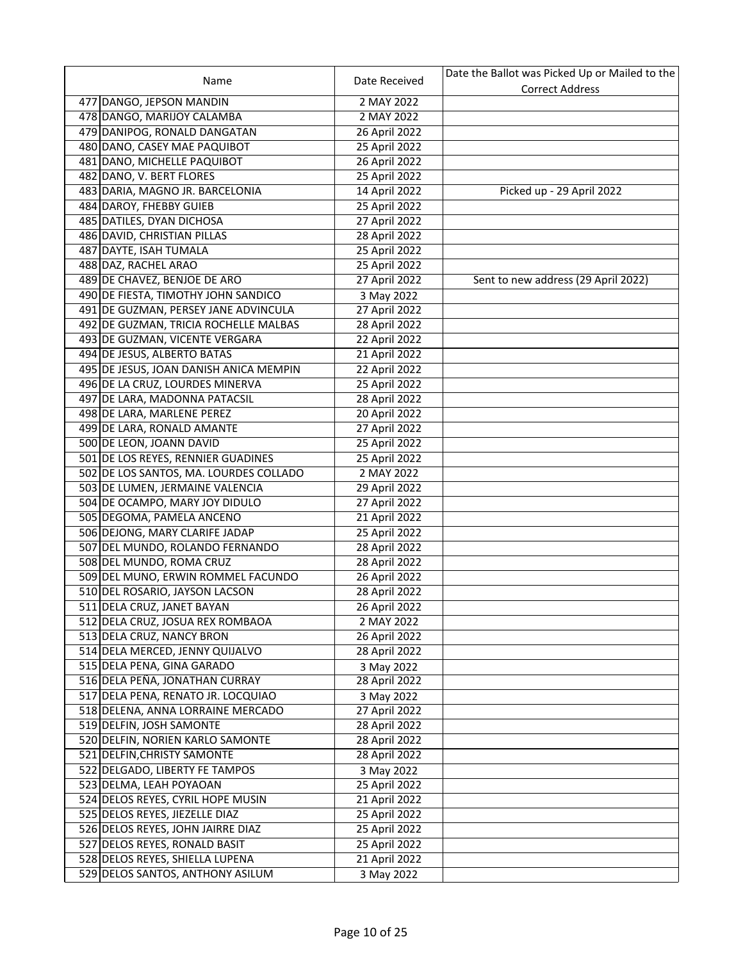|                                        |               | Date the Ballot was Picked Up or Mailed to the |
|----------------------------------------|---------------|------------------------------------------------|
| Name                                   | Date Received | <b>Correct Address</b>                         |
| 477 DANGO, JEPSON MANDIN               | 2 MAY 2022    |                                                |
| 478 DANGO, MARIJOY CALAMBA             | 2 MAY 2022    |                                                |
| 479 DANIPOG, RONALD DANGATAN           | 26 April 2022 |                                                |
| 480 DANO, CASEY MAE PAQUIBOT           | 25 April 2022 |                                                |
| 481 DANO, MICHELLE PAQUIBOT            | 26 April 2022 |                                                |
| 482 DANO, V. BERT FLORES               | 25 April 2022 |                                                |
| 483 DARIA, MAGNO JR. BARCELONIA        | 14 April 2022 | Picked up - 29 April 2022                      |
| 484 DAROY, FHEBBY GUIEB                | 25 April 2022 |                                                |
| 485 DATILES, DYAN DICHOSA              | 27 April 2022 |                                                |
| 486 DAVID, CHRISTIAN PILLAS            | 28 April 2022 |                                                |
| 487 DAYTE, ISAH TUMALA                 | 25 April 2022 |                                                |
| 488 DAZ, RACHEL ARAO                   | 25 April 2022 |                                                |
| 489 DE CHAVEZ, BENJOE DE ARO           | 27 April 2022 | Sent to new address (29 April 2022)            |
| 490 DE FIESTA, TIMOTHY JOHN SANDICO    | 3 May 2022    |                                                |
| 491 DE GUZMAN, PERSEY JANE ADVINCULA   | 27 April 2022 |                                                |
| 492 DE GUZMAN, TRICIA ROCHELLE MALBAS  | 28 April 2022 |                                                |
| 493 DE GUZMAN, VICENTE VERGARA         | 22 April 2022 |                                                |
| 494 DE JESUS, ALBERTO BATAS            | 21 April 2022 |                                                |
| 495 DE JESUS, JOAN DANISH ANICA MEMPIN | 22 April 2022 |                                                |
| 496 DE LA CRUZ, LOURDES MINERVA        | 25 April 2022 |                                                |
| 497 DE LARA, MADONNA PATACSIL          | 28 April 2022 |                                                |
| 498 DE LARA, MARLENE PEREZ             | 20 April 2022 |                                                |
| 499 DE LARA, RONALD AMANTE             | 27 April 2022 |                                                |
| 500 DE LEON, JOANN DAVID               | 25 April 2022 |                                                |
| 501 DE LOS REYES, RENNIER GUADINES     | 25 April 2022 |                                                |
| 502 DE LOS SANTOS, MA. LOURDES COLLADO | 2 MAY 2022    |                                                |
| 503 DE LUMEN, JERMAINE VALENCIA        | 29 April 2022 |                                                |
| 504 DE OCAMPO, MARY JOY DIDULO         | 27 April 2022 |                                                |
| 505 DEGOMA, PAMELA ANCENO              | 21 April 2022 |                                                |
| 506 DEJONG, MARY CLARIFE JADAP         | 25 April 2022 |                                                |
| 507 DEL MUNDO, ROLANDO FERNANDO        | 28 April 2022 |                                                |
| 508 DEL MUNDO, ROMA CRUZ               | 28 April 2022 |                                                |
| 509 DEL MUNO, ERWIN ROMMEL FACUNDO     | 26 April 2022 |                                                |
| 510 DEL ROSARIO, JAYSON LACSON         | 28 April 2022 |                                                |
| 511 DELA CRUZ, JANET BAYAN             | 26 April 2022 |                                                |
| 512 DELA CRUZ, JOSUA REX ROMBAOA       | 2 MAY 2022    |                                                |
| 513 DELA CRUZ, NANCY BRON              | 26 April 2022 |                                                |
| 514 DELA MERCED, JENNY QUIJALVO        | 28 April 2022 |                                                |
| 515 DELA PENA, GINA GARADO             | 3 May 2022    |                                                |
| 516 DELA PEÑA, JONATHAN CURRAY         | 28 April 2022 |                                                |
| 517 DELA PENA, RENATO JR. LOCQUIAO     | 3 May 2022    |                                                |
| 518 DELENA, ANNA LORRAINE MERCADO      | 27 April 2022 |                                                |
| 519 DELFIN, JOSH SAMONTE               | 28 April 2022 |                                                |
| 520 DELFIN, NORIEN KARLO SAMONTE       | 28 April 2022 |                                                |
| 521 DELFIN, CHRISTY SAMONTE            | 28 April 2022 |                                                |
| 522 DELGADO, LIBERTY FE TAMPOS         | 3 May 2022    |                                                |
| 523 DELMA, LEAH POYAOAN                | 25 April 2022 |                                                |
| 524 DELOS REYES, CYRIL HOPE MUSIN      | 21 April 2022 |                                                |
| 525 DELOS REYES, JIEZELLE DIAZ         | 25 April 2022 |                                                |
| 526 DELOS REYES, JOHN JAIRRE DIAZ      | 25 April 2022 |                                                |
| 527 DELOS REYES, RONALD BASIT          | 25 April 2022 |                                                |
| 528 DELOS REYES, SHIELLA LUPENA        | 21 April 2022 |                                                |
| 529 DELOS SANTOS, ANTHONY ASILUM       | 3 May 2022    |                                                |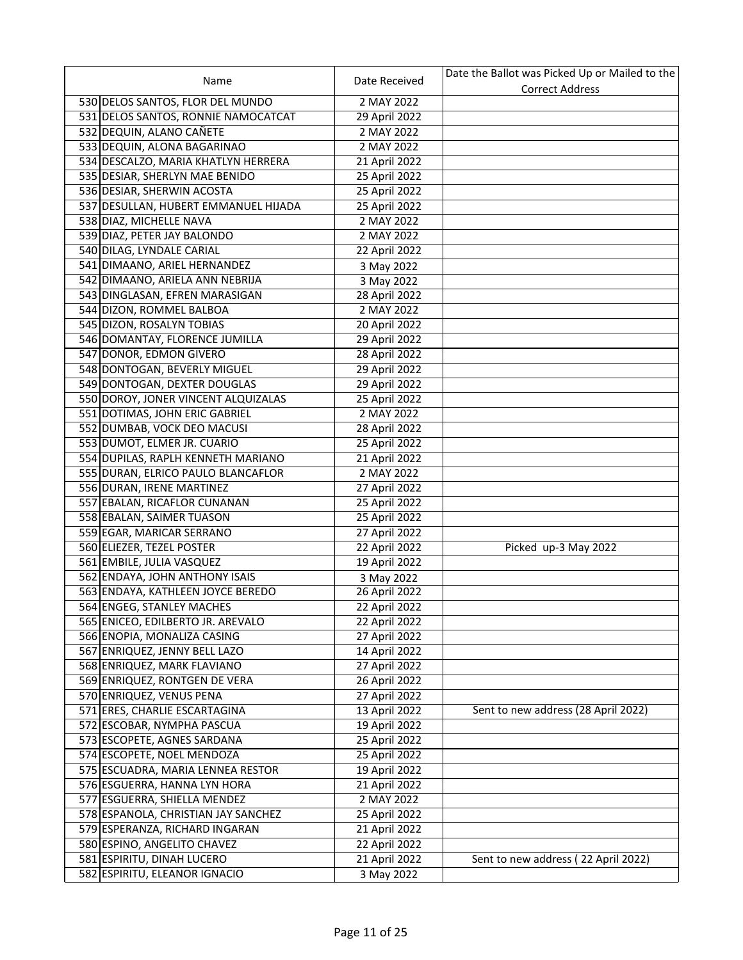|                                      |                                | Date the Ballot was Picked Up or Mailed to the |
|--------------------------------------|--------------------------------|------------------------------------------------|
| Name                                 | Date Received                  | <b>Correct Address</b>                         |
| 530 DELOS SANTOS, FLOR DEL MUNDO     | 2 MAY 2022                     |                                                |
| 531 DELOS SANTOS, RONNIE NAMOCATCAT  | 29 April 2022                  |                                                |
| 532 DEQUIN, ALANO CAÑETE             | 2 MAY 2022                     |                                                |
| 533 DEQUIN, ALONA BAGARINAO          | 2 MAY 2022                     |                                                |
| 534 DESCALZO, MARIA KHATLYN HERRERA  | 21 April 2022                  |                                                |
| 535 DESIAR, SHERLYN MAE BENIDO       | 25 April 2022                  |                                                |
| 536 DESIAR, SHERWIN ACOSTA           | 25 April 2022                  |                                                |
| 537 DESULLAN, HUBERT EMMANUEL HIJADA | 25 April 2022                  |                                                |
| 538 DIAZ, MICHELLE NAVA              | 2 MAY 2022                     |                                                |
| 539 DIAZ, PETER JAY BALONDO          | 2 MAY 2022                     |                                                |
| 540 DILAG, LYNDALE CARIAL            | 22 April 2022                  |                                                |
| 541 DIMAANO, ARIEL HERNANDEZ         | 3 May 2022                     |                                                |
| 542 DIMAANO, ARIELA ANN NEBRIJA      | 3 May 2022                     |                                                |
| 543 DINGLASAN, EFREN MARASIGAN       | 28 April 2022                  |                                                |
| 544 DIZON, ROMMEL BALBOA             | 2 MAY 2022                     |                                                |
| 545 DIZON, ROSALYN TOBIAS            | 20 April 2022                  |                                                |
| 546 DOMANTAY, FLORENCE JUMILLA       | 29 April 2022                  |                                                |
| 547 DONOR, EDMON GIVERO              | 28 April 2022                  |                                                |
| 548 DONTOGAN, BEVERLY MIGUEL         | 29 April 2022                  |                                                |
| 549 DONTOGAN, DEXTER DOUGLAS         | 29 April 2022                  |                                                |
| 550 DOROY, JONER VINCENT ALQUIZALAS  | 25 April 2022                  |                                                |
| 551 DOTIMAS, JOHN ERIC GABRIEL       | 2 MAY 2022                     |                                                |
| 552 DUMBAB, VOCK DEO MACUSI          | 28 April 2022                  |                                                |
| 553 DUMOT, ELMER JR. CUARIO          | 25 April 2022                  |                                                |
| 554 DUPILAS, RAPLH KENNETH MARIANO   | 21 April 2022                  |                                                |
| 555 DURAN, ELRICO PAULO BLANCAFLOR   | 2 MAY 2022                     |                                                |
| 556 DURAN, IRENE MARTINEZ            | 27 April 2022                  |                                                |
| 557 EBALAN, RICAFLOR CUNANAN         | 25 April 2022                  |                                                |
| 558 EBALAN, SAIMER TUASON            | 25 April 2022                  |                                                |
| 559 EGAR, MARICAR SERRANO            | 27 April 2022                  |                                                |
| 560 ELIEZER, TEZEL POSTER            | 22 April 2022                  | Picked up-3 May 2022                           |
| 561 EMBILE, JULIA VASQUEZ            | 19 April 2022                  |                                                |
| 562 ENDAYA, JOHN ANTHONY ISAIS       | 3 May 2022                     |                                                |
| 563 ENDAYA, KATHLEEN JOYCE BEREDO    | 26 April 2022                  |                                                |
| 564 ENGEG, STANLEY MACHES            | 22 April 2022                  |                                                |
| 565 ENICEO, EDILBERTO JR. AREVALO    | 22 April 2022                  |                                                |
| 566 ENOPIA, MONALIZA CASING          | 27 April 2022                  |                                                |
| 567 ENRIQUEZ, JENNY BELL LAZO        | 14 April 2022                  |                                                |
| 568 ENRIQUEZ, MARK FLAVIANO          | 27 April 2022                  |                                                |
| 569 ENRIQUEZ, RONTGEN DE VERA        | 26 April 2022                  |                                                |
| 570 ENRIQUEZ, VENUS PENA             | 27 April 2022                  |                                                |
| 571 ERES, CHARLIE ESCARTAGINA        | 13 April 2022                  | Sent to new address (28 April 2022)            |
| 572 ESCOBAR, NYMPHA PASCUA           | 19 April 2022                  |                                                |
| 573 ESCOPETE, AGNES SARDANA          | 25 April 2022                  |                                                |
| 574 ESCOPETE, NOEL MENDOZA           |                                |                                                |
| 575 ESCUADRA, MARIA LENNEA RESTOR    | 25 April 2022<br>19 April 2022 |                                                |
| 576 ESGUERRA, HANNA LYN HORA         | 21 April 2022                  |                                                |
| 577 ESGUERRA, SHIELLA MENDEZ         | 2 MAY 2022                     |                                                |
| 578 ESPANOLA, CHRISTIAN JAY SANCHEZ  | 25 April 2022                  |                                                |
|                                      |                                |                                                |
| 579 ESPERANZA, RICHARD INGARAN       | 21 April 2022                  |                                                |
| 580 ESPINO, ANGELITO CHAVEZ          | 22 April 2022                  |                                                |
| 581 ESPIRITU, DINAH LUCERO           | 21 April 2022                  | Sent to new address (22 April 2022)            |
| 582 ESPIRITU, ELEANOR IGNACIO        | 3 May 2022                     |                                                |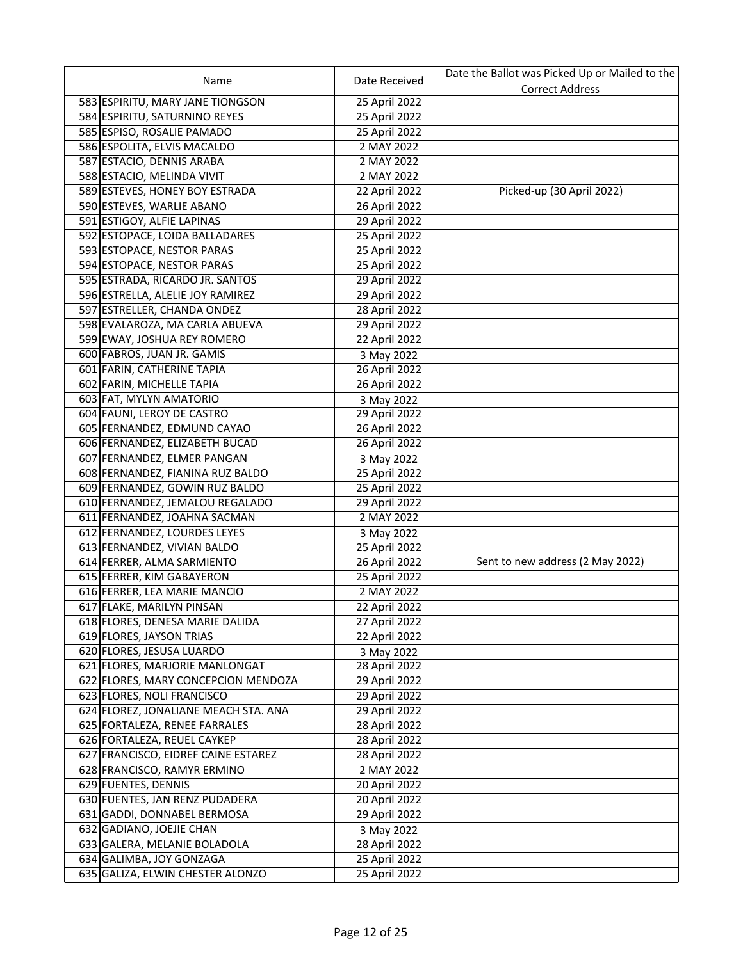|                                      |               | Date the Ballot was Picked Up or Mailed to the |
|--------------------------------------|---------------|------------------------------------------------|
| Name                                 | Date Received | <b>Correct Address</b>                         |
| 583 ESPIRITU, MARY JANE TIONGSON     | 25 April 2022 |                                                |
| 584 ESPIRITU, SATURNINO REYES        | 25 April 2022 |                                                |
| 585 ESPISO, ROSALIE PAMADO           | 25 April 2022 |                                                |
| 586 ESPOLITA, ELVIS MACALDO          | 2 MAY 2022    |                                                |
| 587 ESTACIO, DENNIS ARABA            | 2 MAY 2022    |                                                |
| 588 ESTACIO, MELINDA VIVIT           | 2 MAY 2022    |                                                |
| 589 ESTEVES, HONEY BOY ESTRADA       | 22 April 2022 | Picked-up (30 April 2022)                      |
| 590 ESTEVES, WARLIE ABANO            | 26 April 2022 |                                                |
| 591 ESTIGOY, ALFIE LAPINAS           | 29 April 2022 |                                                |
| 592 ESTOPACE, LOIDA BALLADARES       | 25 April 2022 |                                                |
| 593 ESTOPACE, NESTOR PARAS           | 25 April 2022 |                                                |
| 594 ESTOPACE, NESTOR PARAS           | 25 April 2022 |                                                |
| 595 ESTRADA, RICARDO JR. SANTOS      | 29 April 2022 |                                                |
| 596 ESTRELLA, ALELIE JOY RAMIREZ     | 29 April 2022 |                                                |
| 597 ESTRELLER, CHANDA ONDEZ          | 28 April 2022 |                                                |
| 598 EVALAROZA, MA CARLA ABUEVA       | 29 April 2022 |                                                |
| 599 EWAY, JOSHUA REY ROMERO          | 22 April 2022 |                                                |
| 600 FABROS, JUAN JR. GAMIS           | 3 May 2022    |                                                |
| 601 FARIN, CATHERINE TAPIA           | 26 April 2022 |                                                |
| 602 FARIN, MICHELLE TAPIA            | 26 April 2022 |                                                |
| 603 FAT, MYLYN AMATORIO              | 3 May 2022    |                                                |
| 604 FAUNI, LEROY DE CASTRO           | 29 April 2022 |                                                |
| 605 FERNANDEZ, EDMUND CAYAO          | 26 April 2022 |                                                |
| 606 FERNANDEZ, ELIZABETH BUCAD       | 26 April 2022 |                                                |
| 607 FERNANDEZ, ELMER PANGAN          | 3 May 2022    |                                                |
| 608 FERNANDEZ, FIANINA RUZ BALDO     | 25 April 2022 |                                                |
| 609 FERNANDEZ, GOWIN RUZ BALDO       | 25 April 2022 |                                                |
| 610 FERNANDEZ, JEMALOU REGALADO      | 29 April 2022 |                                                |
| 611 FERNANDEZ, JOAHNA SACMAN         | 2 MAY 2022    |                                                |
| 612 FERNANDEZ, LOURDES LEYES         | 3 May 2022    |                                                |
| 613 FERNANDEZ, VIVIAN BALDO          | 25 April 2022 |                                                |
| 614 FERRER, ALMA SARMIENTO           | 26 April 2022 | Sent to new address (2 May 2022)               |
| 615 FERRER, KIM GABAYERON            | 25 April 2022 |                                                |
| 616 FERRER, LEA MARIE MANCIO         | 2 MAY 2022    |                                                |
| 617 FLAKE, MARILYN PINSAN            | 22 April 2022 |                                                |
| 618 FLORES, DENESA MARIE DALIDA      | 27 April 2022 |                                                |
| 619 FLORES, JAYSON TRIAS             | 22 April 2022 |                                                |
| 620 FLORES, JESUSA LUARDO            | 3 May 2022    |                                                |
| 621 FLORES, MARJORIE MANLONGAT       | 28 April 2022 |                                                |
| 622 FLORES, MARY CONCEPCION MENDOZA  | 29 April 2022 |                                                |
| 623 FLORES, NOLI FRANCISCO           | 29 April 2022 |                                                |
| 624 FLOREZ, JONALIANE MEACH STA. ANA | 29 April 2022 |                                                |
| 625 FORTALEZA, RENEE FARRALES        | 28 April 2022 |                                                |
| 626 FORTALEZA, REUEL CAYKEP          | 28 April 2022 |                                                |
| 627 FRANCISCO, EIDREF CAINE ESTAREZ  | 28 April 2022 |                                                |
| 628 FRANCISCO, RAMYR ERMINO          | 2 MAY 2022    |                                                |
| 629 FUENTES, DENNIS                  | 20 April 2022 |                                                |
| 630 FUENTES, JAN RENZ PUDADERA       | 20 April 2022 |                                                |
| 631 GADDI, DONNABEL BERMOSA          | 29 April 2022 |                                                |
| 632 GADIANO, JOEJIE CHAN             | 3 May 2022    |                                                |
| 633 GALERA, MELANIE BOLADOLA         | 28 April 2022 |                                                |
| 634 GALIMBA, JOY GONZAGA             | 25 April 2022 |                                                |
| 635 GALIZA, ELWIN CHESTER ALONZO     | 25 April 2022 |                                                |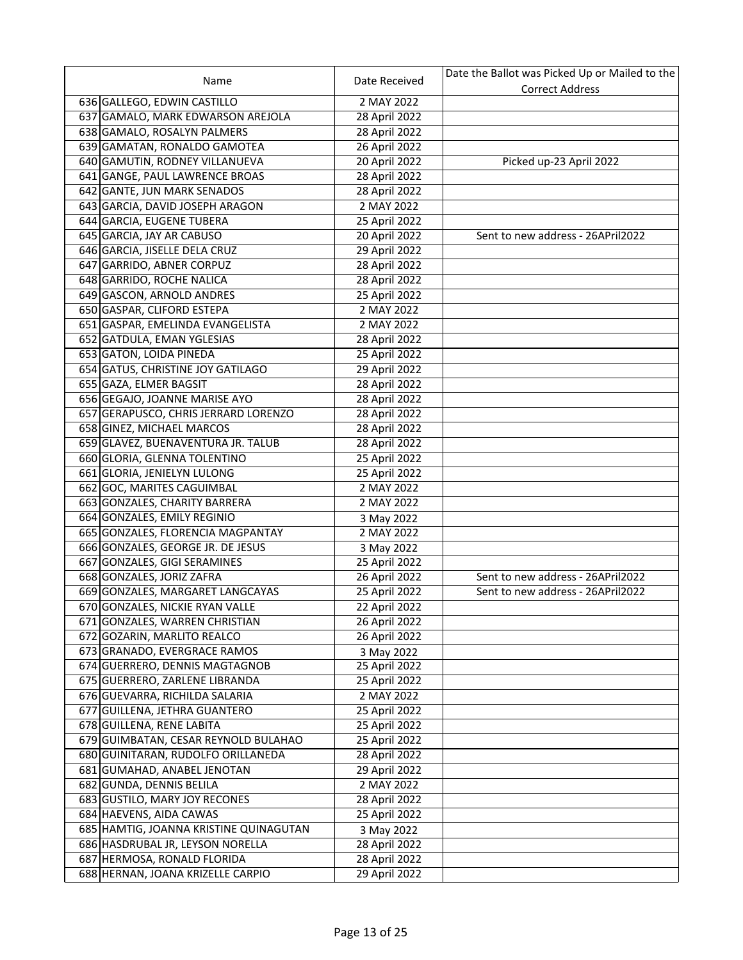|                                                             |               | Date the Ballot was Picked Up or Mailed to the |
|-------------------------------------------------------------|---------------|------------------------------------------------|
| Name                                                        | Date Received | <b>Correct Address</b>                         |
| 636 GALLEGO, EDWIN CASTILLO                                 | 2 MAY 2022    |                                                |
| 637 GAMALO, MARK EDWARSON AREJOLA                           | 28 April 2022 |                                                |
| 638 GAMALO, ROSALYN PALMERS                                 | 28 April 2022 |                                                |
| 639 GAMATAN, RONALDO GAMOTEA                                | 26 April 2022 |                                                |
| 640 GAMUTIN, RODNEY VILLANUEVA                              | 20 April 2022 | Picked up-23 April 2022                        |
| 641 GANGE, PAUL LAWRENCE BROAS                              | 28 April 2022 |                                                |
| 642 GANTE, JUN MARK SENADOS                                 | 28 April 2022 |                                                |
| 643 GARCIA, DAVID JOSEPH ARAGON                             | 2 MAY 2022    |                                                |
| 644 GARCIA, EUGENE TUBERA                                   | 25 April 2022 |                                                |
| 645 GARCIA, JAY AR CABUSO                                   | 20 April 2022 | Sent to new address - 26APril2022              |
| 646 GARCIA, JISELLE DELA CRUZ                               | 29 April 2022 |                                                |
| 647 GARRIDO, ABNER CORPUZ                                   | 28 April 2022 |                                                |
| 648 GARRIDO, ROCHE NALICA                                   | 28 April 2022 |                                                |
| 649 GASCON, ARNOLD ANDRES                                   | 25 April 2022 |                                                |
| 650 GASPAR, CLIFORD ESTEPA                                  | 2 MAY 2022    |                                                |
| 651 GASPAR, EMELINDA EVANGELISTA                            | 2 MAY 2022    |                                                |
| 652 GATDULA, EMAN YGLESIAS                                  | 28 April 2022 |                                                |
| 653 GATON, LOIDA PINEDA                                     | 25 April 2022 |                                                |
| 654 GATUS, CHRISTINE JOY GATILAGO                           | 29 April 2022 |                                                |
| 655 GAZA, ELMER BAGSIT                                      | 28 April 2022 |                                                |
| 656 GEGAJO, JOANNE MARISE AYO                               | 28 April 2022 |                                                |
| 657 GERAPUSCO, CHRIS JERRARD LORENZO                        | 28 April 2022 |                                                |
| 658 GINEZ, MICHAEL MARCOS                                   | 28 April 2022 |                                                |
| 659 GLAVEZ, BUENAVENTURA JR. TALUB                          | 28 April 2022 |                                                |
|                                                             |               |                                                |
| 660 GLORIA, GLENNA TOLENTINO<br>661 GLORIA, JENIELYN LULONG | 25 April 2022 |                                                |
|                                                             | 25 April 2022 |                                                |
| 662 GOC, MARITES CAGUIMBAL                                  | 2 MAY 2022    |                                                |
| 663 GONZALES, CHARITY BARRERA                               | 2 MAY 2022    |                                                |
| 664 GONZALES, EMILY REGINIO                                 | 3 May 2022    |                                                |
| 665 GONZALES, FLORENCIA MAGPANTAY                           | 2 MAY 2022    |                                                |
| 666 GONZALES, GEORGE JR. DE JESUS                           | 3 May 2022    |                                                |
| 667 GONZALES, GIGI SERAMINES                                | 25 April 2022 |                                                |
| 668 GONZALES, JORIZ ZAFRA                                   | 26 April 2022 | Sent to new address - 26APril2022              |
| 669 GONZALES, MARGARET LANGCAYAS                            | 25 April 2022 | Sent to new address - 26APril2022              |
| 670 GONZALES, NICKIE RYAN VALLE                             | 22 April 2022 |                                                |
| 671 GONZALES, WARREN CHRISTIAN                              | 26 April 2022 |                                                |
| 672 GOZARIN, MARLITO REALCO                                 | 26 April 2022 |                                                |
| 673 GRANADO, EVERGRACE RAMOS                                | 3 May 2022    |                                                |
| 674 GUERRERO, DENNIS MAGTAGNOB                              | 25 April 2022 |                                                |
| 675 GUERRERO, ZARLENE LIBRANDA                              | 25 April 2022 |                                                |
| 676 GUEVARRA, RICHILDA SALARIA                              | 2 MAY 2022    |                                                |
| 677 GUILLENA, JETHRA GUANTERO                               | 25 April 2022 |                                                |
| 678 GUILLENA, RENE LABITA                                   | 25 April 2022 |                                                |
| 679 GUIMBATAN, CESAR REYNOLD BULAHAO                        | 25 April 2022 |                                                |
| 680 GUINITARAN, RUDOLFO ORILLANEDA                          | 28 April 2022 |                                                |
| 681 GUMAHAD, ANABEL JENOTAN                                 | 29 April 2022 |                                                |
| 682 GUNDA, DENNIS BELILA                                    | 2 MAY 2022    |                                                |
| 683 GUSTILO, MARY JOY RECONES                               | 28 April 2022 |                                                |
| 684 HAEVENS, AIDA CAWAS                                     | 25 April 2022 |                                                |
| 685 HAMTIG, JOANNA KRISTINE QUINAGUTAN                      | 3 May 2022    |                                                |
| 686 HASDRUBAL JR, LEYSON NORELLA                            | 28 April 2022 |                                                |
| 687 HERMOSA, RONALD FLORIDA                                 | 28 April 2022 |                                                |
| 688 HERNAN, JOANA KRIZELLE CARPIO                           | 29 April 2022 |                                                |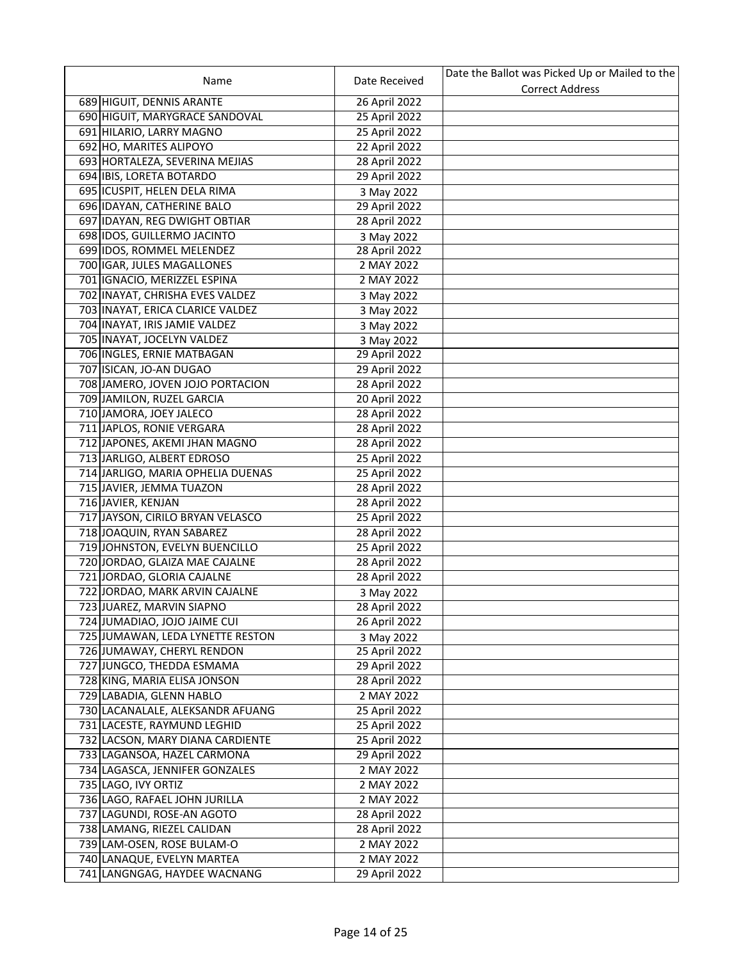|                                   |               | Date the Ballot was Picked Up or Mailed to the |
|-----------------------------------|---------------|------------------------------------------------|
| Name                              | Date Received | <b>Correct Address</b>                         |
| 689 HIGUIT, DENNIS ARANTE         | 26 April 2022 |                                                |
| 690 HIGUIT, MARYGRACE SANDOVAL    | 25 April 2022 |                                                |
| 691 HILARIO, LARRY MAGNO          | 25 April 2022 |                                                |
| 692 HO, MARITES ALIPOYO           | 22 April 2022 |                                                |
| 693 HORTALEZA, SEVERINA MEJIAS    | 28 April 2022 |                                                |
| 694 IBIS, LORETA BOTARDO          | 29 April 2022 |                                                |
| 695 ICUSPIT, HELEN DELA RIMA      | 3 May 2022    |                                                |
| 696 IDAYAN, CATHERINE BALO        | 29 April 2022 |                                                |
| 697 IDAYAN, REG DWIGHT OBTIAR     | 28 April 2022 |                                                |
| 698 IDOS, GUILLERMO JACINTO       | 3 May 2022    |                                                |
| 699 IDOS, ROMMEL MELENDEZ         | 28 April 2022 |                                                |
| 700 IGAR, JULES MAGALLONES        | 2 MAY 2022    |                                                |
| 701   IGNACIO, MERIZZEL ESPINA    | 2 MAY 2022    |                                                |
| 702 INAYAT, CHRISHA EVES VALDEZ   | 3 May 2022    |                                                |
| 703 INAYAT, ERICA CLARICE VALDEZ  | 3 May 2022    |                                                |
| 704 INAYAT, IRIS JAMIE VALDEZ     | 3 May 2022    |                                                |
| 705 INAYAT, JOCELYN VALDEZ        | 3 May 2022    |                                                |
| 706 INGLES, ERNIE MATBAGAN        | 29 April 2022 |                                                |
| 707 ISICAN, JO-AN DUGAO           | 29 April 2022 |                                                |
| 708 JAMERO, JOVEN JOJO PORTACION  | 28 April 2022 |                                                |
| 709 JAMILON, RUZEL GARCIA         | 20 April 2022 |                                                |
| 710 JAMORA, JOEY JALECO           | 28 April 2022 |                                                |
| 711 JAPLOS, RONIE VERGARA         | 28 April 2022 |                                                |
| 712 JAPONES, AKEMI JHAN MAGNO     | 28 April 2022 |                                                |
| 713 JARLIGO, ALBERT EDROSO        | 25 April 2022 |                                                |
| 714 JARLIGO, MARIA OPHELIA DUENAS | 25 April 2022 |                                                |
| 715 JAVIER, JEMMA TUAZON          | 28 April 2022 |                                                |
| 716 JAVIER, KENJAN                | 28 April 2022 |                                                |
| 717 JAYSON, CIRILO BRYAN VELASCO  | 25 April 2022 |                                                |
| 718 JOAQUIN, RYAN SABAREZ         | 28 April 2022 |                                                |
| 719 JOHNSTON, EVELYN BUENCILLO    | 25 April 2022 |                                                |
| 720 JORDAO, GLAIZA MAE CAJALNE    | 28 April 2022 |                                                |
| 721 JORDAO, GLORIA CAJALNE        | 28 April 2022 |                                                |
| 722 JORDAO, MARK ARVIN CAJALNE    | 3 May 2022    |                                                |
| 723 JUAREZ, MARVIN SIAPNO         | 28 April 2022 |                                                |
| 724 JUMADIAO, JOJO JAIME CUI      | 26 April 2022 |                                                |
| 725 JUMAWAN, LEDA LYNETTE RESTON  | 3 May 2022    |                                                |
| 726 JUMAWAY, CHERYL RENDON        | 25 April 2022 |                                                |
| 727 JUNGCO, THEDDA ESMAMA         | 29 April 2022 |                                                |
| 728 KING, MARIA ELISA JONSON      | 28 April 2022 |                                                |
| 729 LABADIA, GLENN HABLO          | 2 MAY 2022    |                                                |
| 730 LACANALALE, ALEKSANDR AFUANG  | 25 April 2022 |                                                |
| 731 LACESTE, RAYMUND LEGHID       | 25 April 2022 |                                                |
| 732 LACSON, MARY DIANA CARDIENTE  | 25 April 2022 |                                                |
| 733 LAGANSOA, HAZEL CARMONA       | 29 April 2022 |                                                |
| 734 LAGASCA, JENNIFER GONZALES    | 2 MAY 2022    |                                                |
| 735 LAGO, IVY ORTIZ               | 2 MAY 2022    |                                                |
| 736 LAGO, RAFAEL JOHN JURILLA     | 2 MAY 2022    |                                                |
| 737 LAGUNDI, ROSE-AN AGOTO        | 28 April 2022 |                                                |
| 738 LAMANG, RIEZEL CALIDAN        | 28 April 2022 |                                                |
| 739 LAM-OSEN, ROSE BULAM-O        | 2 MAY 2022    |                                                |
| 740 LANAQUE, EVELYN MARTEA        | 2 MAY 2022    |                                                |
| 741 LANGNGAG, HAYDEE WACNANG      | 29 April 2022 |                                                |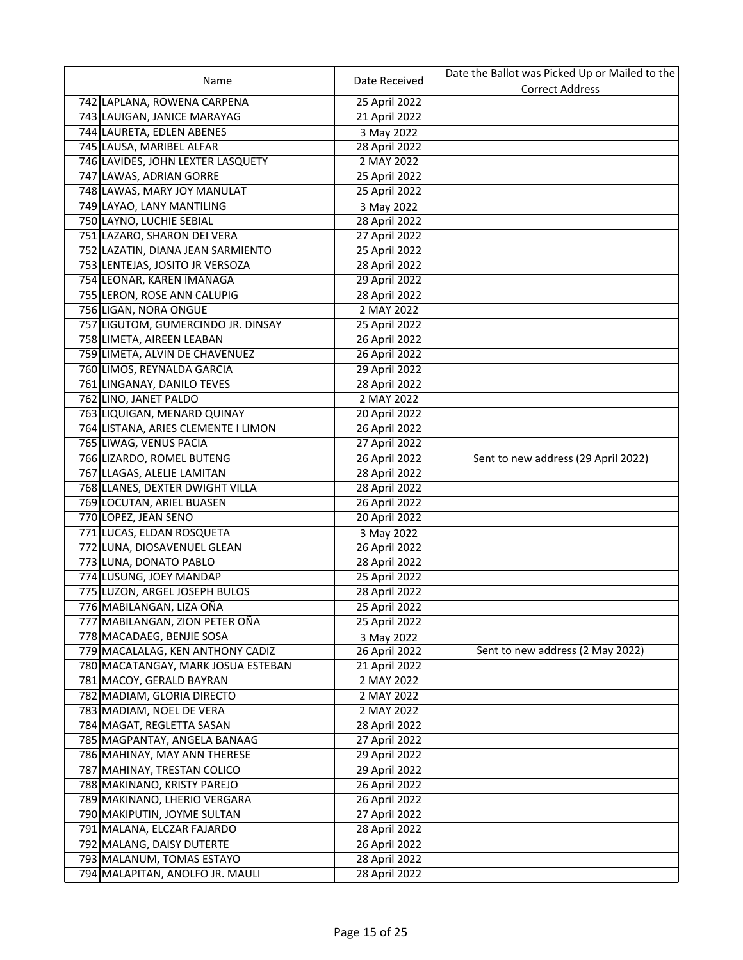|                                     |               | Date the Ballot was Picked Up or Mailed to the |
|-------------------------------------|---------------|------------------------------------------------|
| Name                                | Date Received | <b>Correct Address</b>                         |
| 742 LAPLANA, ROWENA CARPENA         | 25 April 2022 |                                                |
| 743 LAUIGAN, JANICE MARAYAG         | 21 April 2022 |                                                |
| 744 LAURETA, EDLEN ABENES           | 3 May 2022    |                                                |
| 745 LAUSA, MARIBEL ALFAR            | 28 April 2022 |                                                |
| 746 LAVIDES, JOHN LEXTER LASQUETY   | 2 MAY 2022    |                                                |
| 747 LAWAS, ADRIAN GORRE             | 25 April 2022 |                                                |
| 748 LAWAS, MARY JOY MANULAT         | 25 April 2022 |                                                |
| 749 LAYAO, LANY MANTILING           | 3 May 2022    |                                                |
| 750 LAYNO, LUCHIE SEBIAL            | 28 April 2022 |                                                |
| 751 LAZARO, SHARON DEI VERA         | 27 April 2022 |                                                |
| 752 LAZATIN, DIANA JEAN SARMIENTO   | 25 April 2022 |                                                |
| 753 LENTEJAS, JOSITO JR VERSOZA     | 28 April 2022 |                                                |
| 754 LEONAR, KAREN IMAÑAGA           | 29 April 2022 |                                                |
| 755 LERON, ROSE ANN CALUPIG         | 28 April 2022 |                                                |
| 756 LIGAN, NORA ONGUE               | 2 MAY 2022    |                                                |
| 757 LIGUTOM, GUMERCINDO JR. DINSAY  | 25 April 2022 |                                                |
| 758 LIMETA, AIREEN LEABAN           | 26 April 2022 |                                                |
| 759 LIMETA, ALVIN DE CHAVENUEZ      | 26 April 2022 |                                                |
| 760 LIMOS, REYNALDA GARCIA          | 29 April 2022 |                                                |
| 761 LINGANAY, DANILO TEVES          | 28 April 2022 |                                                |
| 762 LINO, JANET PALDO               | 2 MAY 2022    |                                                |
| 763 LIQUIGAN, MENARD QUINAY         | 20 April 2022 |                                                |
| 764 LISTANA, ARIES CLEMENTE I LIMON | 26 April 2022 |                                                |
| 765 LIWAG, VENUS PACIA              | 27 April 2022 |                                                |
| 766 LIZARDO, ROMEL BUTENG           | 26 April 2022 | Sent to new address (29 April 2022)            |
| 767 LLAGAS, ALELIE LAMITAN          | 28 April 2022 |                                                |
| 768 LLANES, DEXTER DWIGHT VILLA     | 28 April 2022 |                                                |
| 769 LOCUTAN, ARIEL BUASEN           | 26 April 2022 |                                                |
| 770 LOPEZ, JEAN SENO                | 20 April 2022 |                                                |
| 771 LUCAS, ELDAN ROSQUETA           | 3 May 2022    |                                                |
| 772 LUNA, DIOSAVENUEL GLEAN         | 26 April 2022 |                                                |
| 773 LUNA, DONATO PABLO              | 28 April 2022 |                                                |
| 774 LUSUNG, JOEY MANDAP             | 25 April 2022 |                                                |
| 775 LUZON, ARGEL JOSEPH BULOS       | 28 April 2022 |                                                |
| 776 MABILANGAN, LIZA OÑA            | 25 April 2022 |                                                |
| 777 MABILANGAN, ZION PETER OÑA      | 25 April 2022 |                                                |
| 778 MACADAEG, BENJIE SOSA           | 3 May 2022    |                                                |
| 779 MACALALAG, KEN ANTHONY CADIZ    | 26 April 2022 | Sent to new address (2 May 2022)               |
| 780 MACATANGAY, MARK JOSUA ESTEBAN  | 21 April 2022 |                                                |
| 781 MACOY, GERALD BAYRAN            | 2 MAY 2022    |                                                |
| 782 MADIAM, GLORIA DIRECTO          | 2 MAY 2022    |                                                |
| 783 MADIAM, NOEL DE VERA            | 2 MAY 2022    |                                                |
| 784 MAGAT, REGLETTA SASAN           | 28 April 2022 |                                                |
| 785 MAGPANTAY, ANGELA BANAAG        | 27 April 2022 |                                                |
| 786 MAHINAY, MAY ANN THERESE        | 29 April 2022 |                                                |
| 787 MAHINAY, TRESTAN COLICO         | 29 April 2022 |                                                |
| 788 MAKINANO, KRISTY PAREJO         | 26 April 2022 |                                                |
| 789 MAKINANO, LHERIO VERGARA        | 26 April 2022 |                                                |
| 790 MAKIPUTIN, JOYME SULTAN         | 27 April 2022 |                                                |
| 791 MALANA, ELCZAR FAJARDO          | 28 April 2022 |                                                |
| 792 MALANG, DAISY DUTERTE           | 26 April 2022 |                                                |
| 793 MALANUM, TOMAS ESTAYO           | 28 April 2022 |                                                |
| 794 MALAPITAN, ANOLFO JR. MAULI     | 28 April 2022 |                                                |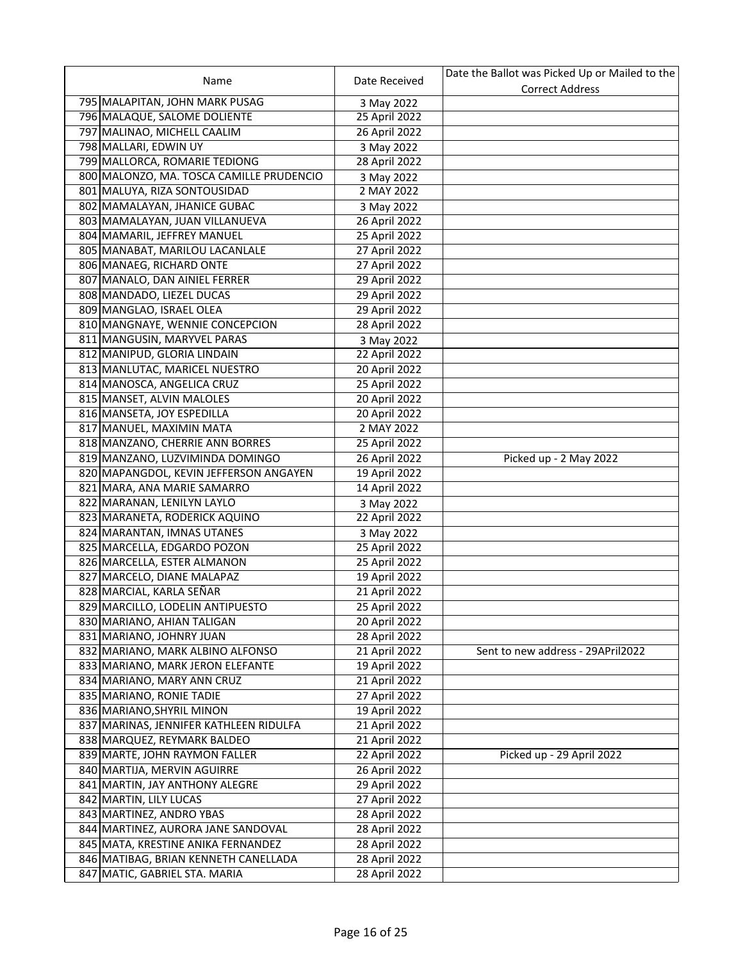|                                          |               | Date the Ballot was Picked Up or Mailed to the |
|------------------------------------------|---------------|------------------------------------------------|
| Name                                     | Date Received | <b>Correct Address</b>                         |
| 795 MALAPITAN, JOHN MARK PUSAG           | 3 May 2022    |                                                |
| 796 MALAQUE, SALOME DOLIENTE             | 25 April 2022 |                                                |
| 797 MALINAO, MICHELL CAALIM              | 26 April 2022 |                                                |
| 798 MALLARI, EDWIN UY                    | 3 May 2022    |                                                |
| 799 MALLORCA, ROMARIE TEDIONG            | 28 April 2022 |                                                |
| 800 MALONZO, MA. TOSCA CAMILLE PRUDENCIO | 3 May 2022    |                                                |
| 801 MALUYA, RIZA SONTOUSIDAD             | 2 MAY 2022    |                                                |
| 802 MAMALAYAN, JHANICE GUBAC             | 3 May 2022    |                                                |
| 803 MAMALAYAN, JUAN VILLANUEVA           | 26 April 2022 |                                                |
| 804 MAMARIL, JEFFREY MANUEL              | 25 April 2022 |                                                |
| 805 MANABAT, MARILOU LACANLALE           | 27 April 2022 |                                                |
| 806 MANAEG, RICHARD ONTE                 | 27 April 2022 |                                                |
| 807 MANALO, DAN AINIEL FERRER            | 29 April 2022 |                                                |
| 808 MANDADO, LIEZEL DUCAS                | 29 April 2022 |                                                |
| 809 MANGLAO, ISRAEL OLEA                 | 29 April 2022 |                                                |
| 810 MANGNAYE, WENNIE CONCEPCION          | 28 April 2022 |                                                |
| 811 MANGUSIN, MARYVEL PARAS              | 3 May 2022    |                                                |
| 812 MANIPUD, GLORIA LINDAIN              | 22 April 2022 |                                                |
| 813 MANLUTAC, MARICEL NUESTRO            | 20 April 2022 |                                                |
| 814 MANOSCA, ANGELICA CRUZ               | 25 April 2022 |                                                |
| 815 MANSET, ALVIN MALOLES                | 20 April 2022 |                                                |
| 816 MANSETA, JOY ESPEDILLA               | 20 April 2022 |                                                |
| 817 MANUEL, MAXIMIN MATA                 | 2 MAY 2022    |                                                |
| 818 MANZANO, CHERRIE ANN BORRES          | 25 April 2022 |                                                |
| 819 MANZANO, LUZVIMINDA DOMINGO          | 26 April 2022 | Picked up - 2 May 2022                         |
| 820 MAPANGDOL, KEVIN JEFFERSON ANGAYEN   | 19 April 2022 |                                                |
| 821 MARA, ANA MARIE SAMARRO              | 14 April 2022 |                                                |
| 822 MARANAN, LENILYN LAYLO               | 3 May 2022    |                                                |
| 823 MARANETA, RODERICK AQUINO            | 22 April 2022 |                                                |
| 824 MARANTAN, IMNAS UTANES               | 3 May 2022    |                                                |
| 825 MARCELLA, EDGARDO POZON              | 25 April 2022 |                                                |
| 826 MARCELLA, ESTER ALMANON              | 25 April 2022 |                                                |
| 827 MARCELO, DIANE MALAPAZ               | 19 April 2022 |                                                |
| 828 MARCIAL, KARLA SEÑAR                 | 21 April 2022 |                                                |
| 829 MARCILLO, LODELIN ANTIPUESTO         | 25 April 2022 |                                                |
| 830 MARIANO, AHIAN TALIGAN               | 20 April 2022 |                                                |
| 831 MARIANO, JOHNRY JUAN                 | 28 April 2022 |                                                |
| 832 MARIANO, MARK ALBINO ALFONSO         | 21 April 2022 | Sent to new address - 29APril2022              |
| 833 MARIANO, MARK JERON ELEFANTE         | 19 April 2022 |                                                |
| 834 MARIANO, MARY ANN CRUZ               | 21 April 2022 |                                                |
| 835 MARIANO, RONIE TADIE                 | 27 April 2022 |                                                |
| 836 MARIANO, SHYRIL MINON                | 19 April 2022 |                                                |
| 837 MARINAS, JENNIFER KATHLEEN RIDULFA   | 21 April 2022 |                                                |
| 838 MARQUEZ, REYMARK BALDEO              | 21 April 2022 |                                                |
| 839 MARTE, JOHN RAYMON FALLER            | 22 April 2022 | Picked up - 29 April 2022                      |
| 840 MARTIJA, MERVIN AGUIRRE              | 26 April 2022 |                                                |
| 841 MARTIN, JAY ANTHONY ALEGRE           | 29 April 2022 |                                                |
| 842 MARTIN, LILY LUCAS                   | 27 April 2022 |                                                |
| 843 MARTINEZ, ANDRO YBAS                 | 28 April 2022 |                                                |
| 844 MARTINEZ, AURORA JANE SANDOVAL       | 28 April 2022 |                                                |
| 845 MATA, KRESTINE ANIKA FERNANDEZ       | 28 April 2022 |                                                |
| 846 MATIBAG, BRIAN KENNETH CANELLADA     | 28 April 2022 |                                                |
| 847 MATIC, GABRIEL STA. MARIA            | 28 April 2022 |                                                |
|                                          |               |                                                |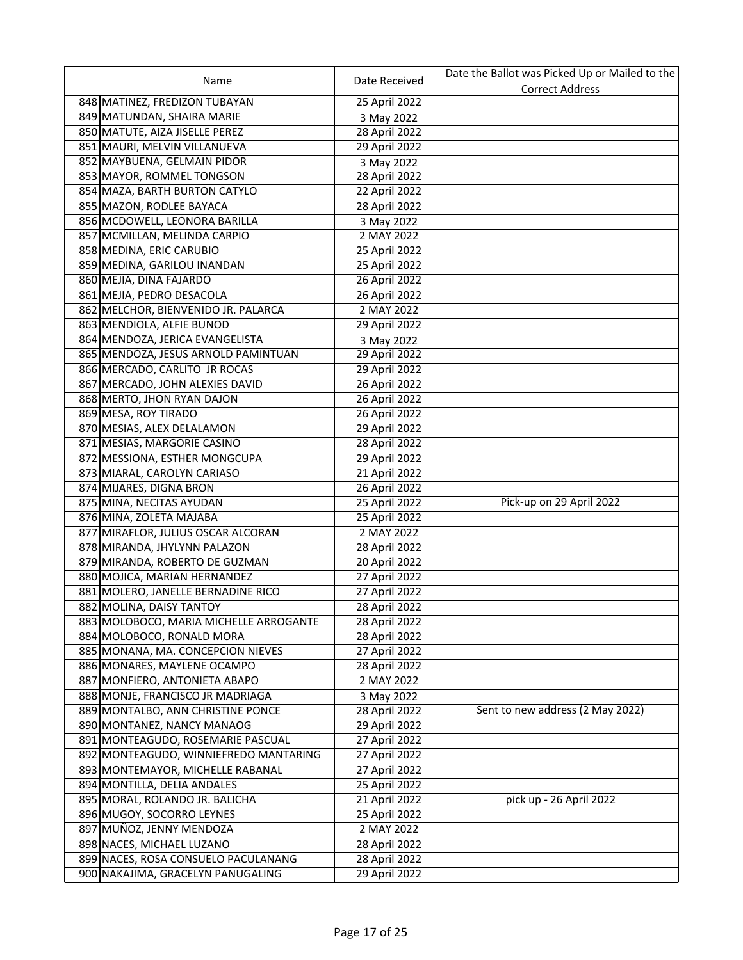|                                        |               | Date the Ballot was Picked Up or Mailed to the |
|----------------------------------------|---------------|------------------------------------------------|
| Name                                   | Date Received | <b>Correct Address</b>                         |
| 848 MATINEZ, FREDIZON TUBAYAN          | 25 April 2022 |                                                |
| 849 MATUNDAN, SHAIRA MARIE             | 3 May 2022    |                                                |
| 850 MATUTE, AIZA JISELLE PEREZ         | 28 April 2022 |                                                |
| 851 MAURI, MELVIN VILLANUEVA           | 29 April 2022 |                                                |
| 852 MAYBUENA, GELMAIN PIDOR            | 3 May 2022    |                                                |
| 853 MAYOR, ROMMEL TONGSON              | 28 April 2022 |                                                |
| 854 MAZA, BARTH BURTON CATYLO          | 22 April 2022 |                                                |
| 855 MAZON, RODLEE BAYACA               | 28 April 2022 |                                                |
| 856 MCDOWELL, LEONORA BARILLA          | 3 May 2022    |                                                |
| 857 MCMILLAN, MELINDA CARPIO           | 2 MAY 2022    |                                                |
| 858 MEDINA, ERIC CARUBIO               | 25 April 2022 |                                                |
| 859 MEDINA, GARILOU INANDAN            | 25 April 2022 |                                                |
| 860 MEJIA, DINA FAJARDO                | 26 April 2022 |                                                |
| 861 MEJIA, PEDRO DESACOLA              | 26 April 2022 |                                                |
| 862 MELCHOR, BIENVENIDO JR. PALARCA    | 2 MAY 2022    |                                                |
| 863 MENDIOLA, ALFIE BUNOD              | 29 April 2022 |                                                |
| 864 MENDOZA, JERICA EVANGELISTA        | 3 May 2022    |                                                |
| 865 MENDOZA, JESUS ARNOLD PAMINTUAN    | 29 April 2022 |                                                |
| 866 MERCADO, CARLITO JR ROCAS          | 29 April 2022 |                                                |
| 867 MERCADO, JOHN ALEXIES DAVID        | 26 April 2022 |                                                |
| 868 MERTO, JHON RYAN DAJON             | 26 April 2022 |                                                |
| 869 MESA, ROY TIRADO                   | 26 April 2022 |                                                |
| 870 MESIAS, ALEX DELALAMON             | 29 April 2022 |                                                |
| 871 MESIAS, MARGORIE CASIÑO            | 28 April 2022 |                                                |
|                                        |               |                                                |
| 872 MESSIONA, ESTHER MONGCUPA          | 29 April 2022 |                                                |
| 873 MIARAL, CAROLYN CARIASO            | 21 April 2022 |                                                |
| 874 MIJARES, DIGNA BRON                | 26 April 2022 | Pick-up on 29 April 2022                       |
| 875 MINA, NECITAS AYUDAN               | 25 April 2022 |                                                |
| 876 MINA, ZOLETA MAJABA                | 25 April 2022 |                                                |
| 877 MIRAFLOR, JULIUS OSCAR ALCORAN     | 2 MAY 2022    |                                                |
| 878 MIRANDA, JHYLYNN PALAZON           | 28 April 2022 |                                                |
| 879 MIRANDA, ROBERTO DE GUZMAN         | 20 April 2022 |                                                |
| 880 MOJICA, MARIAN HERNANDEZ           | 27 April 2022 |                                                |
| 881 MOLERO, JANELLE BERNADINE RICO     | 27 April 2022 |                                                |
| 882 MOLINA, DAISY TANTOY               | 28 April 2022 |                                                |
| 883 MOLOBOCO, MARIA MICHELLE ARROGANTE | 28 April 2022 |                                                |
| 884 MOLOBOCO, RONALD MORA              | 28 April 2022 |                                                |
| 885 MONANA, MA. CONCEPCION NIEVES      | 27 April 2022 |                                                |
| 886 MONARES, MAYLENE OCAMPO            | 28 April 2022 |                                                |
| 887 MONFIERO, ANTONIETA ABAPO          | 2 MAY 2022    |                                                |
| 888 MONJE, FRANCISCO JR MADRIAGA       | 3 May 2022    |                                                |
| 889 MONTALBO, ANN CHRISTINE PONCE      | 28 April 2022 | Sent to new address (2 May 2022)               |
| 890 MONTANEZ, NANCY MANAOG             | 29 April 2022 |                                                |
| 891 MONTEAGUDO, ROSEMARIE PASCUAL      | 27 April 2022 |                                                |
| 892 MONTEAGUDO, WINNIEFREDO MANTARING  | 27 April 2022 |                                                |
| 893 MONTEMAYOR, MICHELLE RABANAL       | 27 April 2022 |                                                |
| 894 MONTILLA, DELIA ANDALES            | 25 April 2022 |                                                |
| 895 MORAL, ROLANDO JR. BALICHA         | 21 April 2022 | pick up - 26 April 2022                        |
| 896 MUGOY, SOCORRO LEYNES              | 25 April 2022 |                                                |
| 897 MUÑOZ, JENNY MENDOZA               | 2 MAY 2022    |                                                |
| 898 NACES, MICHAEL LUZANO              | 28 April 2022 |                                                |
| 899 NACES, ROSA CONSUELO PACULANANG    | 28 April 2022 |                                                |
| 900 NAKAJIMA, GRACELYN PANUGALING      | 29 April 2022 |                                                |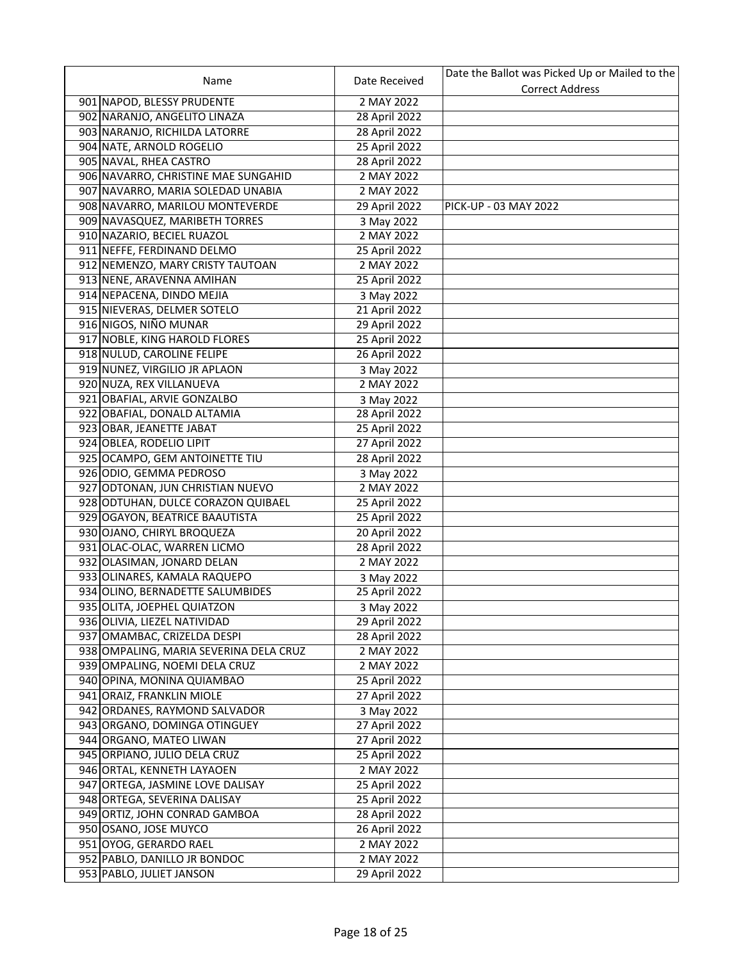|                                        |               | Date the Ballot was Picked Up or Mailed to the |
|----------------------------------------|---------------|------------------------------------------------|
| Name                                   | Date Received | <b>Correct Address</b>                         |
| 901 NAPOD, BLESSY PRUDENTE             | 2 MAY 2022    |                                                |
| 902 NARANJO, ANGELITO LINAZA           | 28 April 2022 |                                                |
| 903 NARANJO, RICHILDA LATORRE          | 28 April 2022 |                                                |
| 904 NATE, ARNOLD ROGELIO               | 25 April 2022 |                                                |
| 905 NAVAL, RHEA CASTRO                 | 28 April 2022 |                                                |
| 906 NAVARRO, CHRISTINE MAE SUNGAHID    | 2 MAY 2022    |                                                |
| 907 NAVARRO, MARIA SOLEDAD UNABIA      | 2 MAY 2022    |                                                |
| 908 NAVARRO, MARILOU MONTEVERDE        | 29 April 2022 | PICK-UP - 03 MAY 2022                          |
| 909 NAVASQUEZ, MARIBETH TORRES         | 3 May 2022    |                                                |
| 910 NAZARIO, BECIEL RUAZOL             | 2 MAY 2022    |                                                |
| 911 NEFFE, FERDINAND DELMO             | 25 April 2022 |                                                |
| 912 NEMENZO, MARY CRISTY TAUTOAN       | 2 MAY 2022    |                                                |
| 913 NENE, ARAVENNA AMIHAN              | 25 April 2022 |                                                |
| 914 NEPACENA, DINDO MEJIA              | 3 May 2022    |                                                |
| 915 NIEVERAS, DELMER SOTELO            | 21 April 2022 |                                                |
| 916 NIGOS, NIÑO MUNAR                  | 29 April 2022 |                                                |
| 917 NOBLE, KING HAROLD FLORES          | 25 April 2022 |                                                |
| 918 NULUD, CAROLINE FELIPE             | 26 April 2022 |                                                |
| 919 NUNEZ, VIRGILIO JR APLAON          | 3 May 2022    |                                                |
| 920 NUZA, REX VILLANUEVA               | 2 MAY 2022    |                                                |
| 921 OBAFIAL, ARVIE GONZALBO            | 3 May 2022    |                                                |
| 922 OBAFIAL, DONALD ALTAMIA            | 28 April 2022 |                                                |
| 923 OBAR, JEANETTE JABAT               | 25 April 2022 |                                                |
| 924 OBLEA, RODELIO LIPIT               | 27 April 2022 |                                                |
| 925 OCAMPO, GEM ANTOINETTE TIU         | 28 April 2022 |                                                |
| 926 ODIO, GEMMA PEDROSO                | 3 May 2022    |                                                |
| 927 ODTONAN, JUN CHRISTIAN NUEVO       | 2 MAY 2022    |                                                |
| 928 ODTUHAN, DULCE CORAZON QUIBAEL     | 25 April 2022 |                                                |
| 929 OGAYON, BEATRICE BAAUTISTA         | 25 April 2022 |                                                |
| 930 OJANO, CHIRYL BROQUEZA             | 20 April 2022 |                                                |
| 931 OLAC-OLAC, WARREN LICMO            | 28 April 2022 |                                                |
| 932 OLASIMAN, JONARD DELAN             | 2 MAY 2022    |                                                |
| 933 OLINARES, KAMALA RAQUEPO           | 3 May 2022    |                                                |
| 934 OLINO, BERNADETTE SALUMBIDES       | 25 April 2022 |                                                |
| 935 OLITA, JOEPHEL QUIATZON            | 3 May 2022    |                                                |
| 936 OLIVIA, LIEZEL NATIVIDAD           | 29 April 2022 |                                                |
| 937 OMAMBAC, CRIZELDA DESPI            | 28 April 2022 |                                                |
| 938 OMPALING, MARIA SEVERINA DELA CRUZ | 2 MAY 2022    |                                                |
| 939 OMPALING, NOEMI DELA CRUZ          | 2 MAY 2022    |                                                |
| 940 OPINA, MONINA QUIAMBAO             | 25 April 2022 |                                                |
| 941 ORAIZ, FRANKLIN MIOLE              | 27 April 2022 |                                                |
| 942 ORDANES, RAYMOND SALVADOR          | 3 May 2022    |                                                |
| 943 ORGANO, DOMINGA OTINGUEY           | 27 April 2022 |                                                |
| 944 ORGANO, MATEO LIWAN                | 27 April 2022 |                                                |
| 945 ORPIANO, JULIO DELA CRUZ           | 25 April 2022 |                                                |
| 946 ORTAL, KENNETH LAYAOEN             | 2 MAY 2022    |                                                |
| 947 ORTEGA, JASMINE LOVE DALISAY       | 25 April 2022 |                                                |
| 948 ORTEGA, SEVERINA DALISAY           | 25 April 2022 |                                                |
| 949 ORTIZ, JOHN CONRAD GAMBOA          | 28 April 2022 |                                                |
| 950 OSANO, JOSE MUYCO                  | 26 April 2022 |                                                |
| 951 OYOG, GERARDO RAEL                 | 2 MAY 2022    |                                                |
| 952 PABLO, DANILLO JR BONDOC           | 2 MAY 2022    |                                                |
| 953 PABLO, JULIET JANSON               | 29 April 2022 |                                                |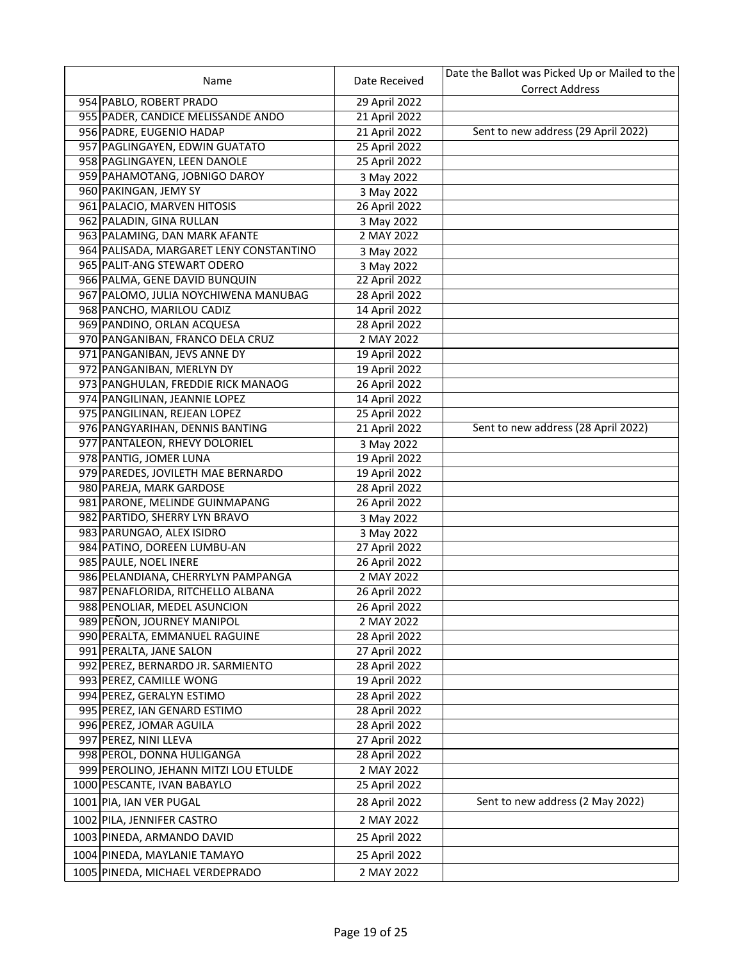|                                         |               | Date the Ballot was Picked Up or Mailed to the |
|-----------------------------------------|---------------|------------------------------------------------|
| Name                                    | Date Received | <b>Correct Address</b>                         |
| 954 PABLO, ROBERT PRADO                 | 29 April 2022 |                                                |
| 955 PADER, CANDICE MELISSANDE ANDO      | 21 April 2022 |                                                |
| 956 PADRE, EUGENIO HADAP                | 21 April 2022 | Sent to new address (29 April 2022)            |
| 957 PAGLINGAYEN, EDWIN GUATATO          | 25 April 2022 |                                                |
| 958 PAGLINGAYEN, LEEN DANOLE            | 25 April 2022 |                                                |
| 959 PAHAMOTANG, JOBNIGO DAROY           | 3 May 2022    |                                                |
| 960 PAKINGAN, JEMY SY                   | 3 May 2022    |                                                |
| 961 PALACIO, MARVEN HITOSIS             | 26 April 2022 |                                                |
| 962 PALADIN, GINA RULLAN                | 3 May 2022    |                                                |
| 963 PALAMING, DAN MARK AFANTE           | 2 MAY 2022    |                                                |
| 964 PALISADA, MARGARET LENY CONSTANTINO | 3 May 2022    |                                                |
| 965 PALIT-ANG STEWART ODERO             | 3 May 2022    |                                                |
| 966 PALMA, GENE DAVID BUNQUIN           | 22 April 2022 |                                                |
| 967 PALOMO, JULIA NOYCHIWENA MANUBAG    | 28 April 2022 |                                                |
| 968 PANCHO, MARILOU CADIZ               | 14 April 2022 |                                                |
| 969 PANDINO, ORLAN ACQUESA              | 28 April 2022 |                                                |
| 970 PANGANIBAN, FRANCO DELA CRUZ        | 2 MAY 2022    |                                                |
| 971 PANGANIBAN, JEVS ANNE DY            | 19 April 2022 |                                                |
| 972 PANGANIBAN, MERLYN DY               | 19 April 2022 |                                                |
| 973 PANGHULAN, FREDDIE RICK MANAOG      | 26 April 2022 |                                                |
| 974 PANGILINAN, JEANNIE LOPEZ           | 14 April 2022 |                                                |
| 975 PANGILINAN, REJEAN LOPEZ            | 25 April 2022 |                                                |
| 976 PANGYARIHAN, DENNIS BANTING         | 21 April 2022 | Sent to new address (28 April 2022)            |
| 977 PANTALEON, RHEVY DOLORIEL           | 3 May 2022    |                                                |
| 978 PANTIG, JOMER LUNA                  | 19 April 2022 |                                                |
| 979 PAREDES, JOVILETH MAE BERNARDO      | 19 April 2022 |                                                |
| 980 PAREJA, MARK GARDOSE                | 28 April 2022 |                                                |
| 981 PARONE, MELINDE GUINMAPANG          | 26 April 2022 |                                                |
| 982 PARTIDO, SHERRY LYN BRAVO           | 3 May 2022    |                                                |
| 983 PARUNGAO, ALEX ISIDRO               | 3 May 2022    |                                                |
| 984 PATINO, DOREEN LUMBU-AN             | 27 April 2022 |                                                |
| 985 PAULE, NOEL INERE                   | 26 April 2022 |                                                |
| 986 PELANDIANA, CHERRYLYN PAMPANGA      | 2 MAY 2022    |                                                |
| 987 PENAFLORIDA, RITCHELLO ALBANA       | 26 April 2022 |                                                |
| 988 PENOLIAR, MEDEL ASUNCION            | 26 April 2022 |                                                |
| 989 PEÑON, JOURNEY MANIPOL              | 2 MAY 2022    |                                                |
| 990 PERALTA, EMMANUEL RAGUINE           | 28 April 2022 |                                                |
| 991 PERALTA, JANE SALON                 | 27 April 2022 |                                                |
| 992 PEREZ, BERNARDO JR. SARMIENTO       | 28 April 2022 |                                                |
| 993 PEREZ, CAMILLE WONG                 | 19 April 2022 |                                                |
| 994 PEREZ, GERALYN ESTIMO               | 28 April 2022 |                                                |
| 995 PEREZ, IAN GENARD ESTIMO            | 28 April 2022 |                                                |
| 996 PEREZ, JOMAR AGUILA                 | 28 April 2022 |                                                |
| 997 PEREZ, NINI LLEVA                   | 27 April 2022 |                                                |
| 998 PEROL, DONNA HULIGANGA              | 28 April 2022 |                                                |
| 999 PEROLINO, JEHANN MITZI LOU ETULDE   | 2 MAY 2022    |                                                |
| 1000 PESCANTE, IVAN BABAYLO             | 25 April 2022 |                                                |
| 1001 PIA, IAN VER PUGAL                 | 28 April 2022 | Sent to new address (2 May 2022)               |
| 1002 PILA, JENNIFER CASTRO              | 2 MAY 2022    |                                                |
|                                         |               |                                                |
| 1003 PINEDA, ARMANDO DAVID              | 25 April 2022 |                                                |
| 1004 PINEDA, MAYLANIE TAMAYO            | 25 April 2022 |                                                |
| 1005 PINEDA, MICHAEL VERDEPRADO         | 2 MAY 2022    |                                                |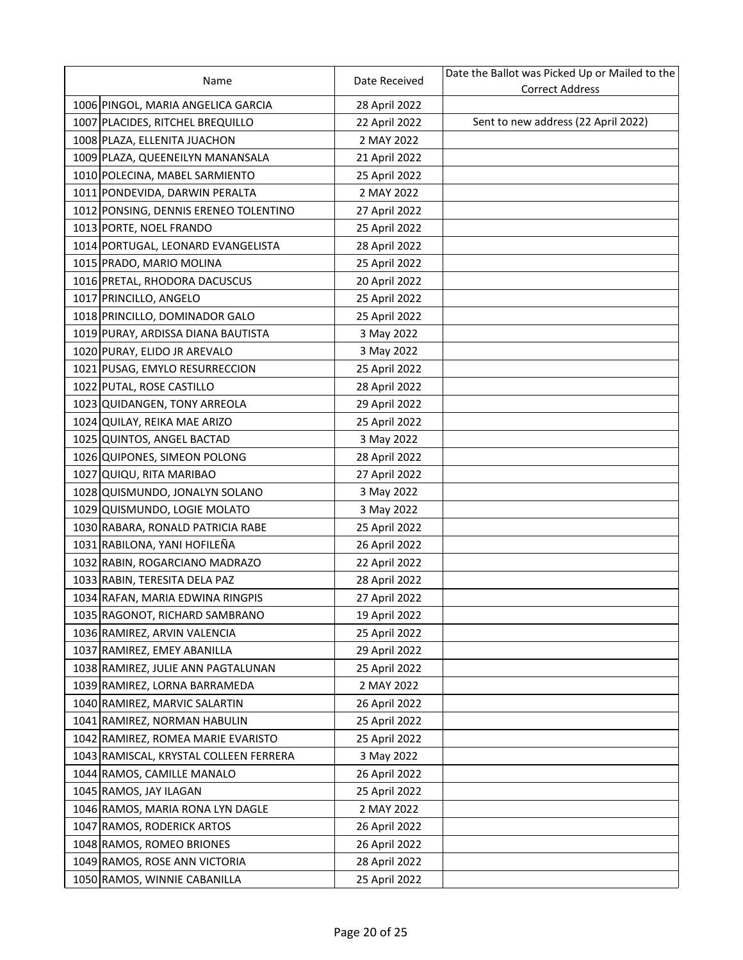| Name                                   | Date Received | Date the Ballot was Picked Up or Mailed to the |
|----------------------------------------|---------------|------------------------------------------------|
|                                        |               | <b>Correct Address</b>                         |
| 1006 PINGOL, MARIA ANGELICA GARCIA     | 28 April 2022 |                                                |
| 1007 PLACIDES, RITCHEL BREQUILLO       | 22 April 2022 | Sent to new address (22 April 2022)            |
| 1008 PLAZA, ELLENITA JUACHON           | 2 MAY 2022    |                                                |
| 1009 PLAZA, QUEENEILYN MANANSALA       | 21 April 2022 |                                                |
| 1010 POLECINA, MABEL SARMIENTO         | 25 April 2022 |                                                |
| 1011 PONDEVIDA, DARWIN PERALTA         | 2 MAY 2022    |                                                |
| 1012 PONSING, DENNIS ERENEO TOLENTINO  | 27 April 2022 |                                                |
| 1013 PORTE, NOEL FRANDO                | 25 April 2022 |                                                |
| 1014 PORTUGAL, LEONARD EVANGELISTA     | 28 April 2022 |                                                |
| 1015 PRADO, MARIO MOLINA               | 25 April 2022 |                                                |
| 1016 PRETAL, RHODORA DACUSCUS          | 20 April 2022 |                                                |
| 1017 PRINCILLO, ANGELO                 | 25 April 2022 |                                                |
| 1018 PRINCILLO, DOMINADOR GALO         | 25 April 2022 |                                                |
| 1019 PURAY, ARDISSA DIANA BAUTISTA     | 3 May 2022    |                                                |
| 1020 PURAY, ELIDO JR AREVALO           | 3 May 2022    |                                                |
| 1021 PUSAG, EMYLO RESURRECCION         | 25 April 2022 |                                                |
| 1022 PUTAL, ROSE CASTILLO              | 28 April 2022 |                                                |
| 1023 QUIDANGEN, TONY ARREOLA           | 29 April 2022 |                                                |
| 1024 QUILAY, REIKA MAE ARIZO           | 25 April 2022 |                                                |
| 1025 QUINTOS, ANGEL BACTAD             | 3 May 2022    |                                                |
| 1026 QUIPONES, SIMEON POLONG           | 28 April 2022 |                                                |
| 1027 QUIQU, RITA MARIBAO               | 27 April 2022 |                                                |
| 1028 QUISMUNDO, JONALYN SOLANO         | 3 May 2022    |                                                |
| 1029 QUISMUNDO, LOGIE MOLATO           | 3 May 2022    |                                                |
| 1030 RABARA, RONALD PATRICIA RABE      | 25 April 2022 |                                                |
| 1031 RABILONA, YANI HOFILEÑA           | 26 April 2022 |                                                |
| 1032 RABIN, ROGARCIANO MADRAZO         | 22 April 2022 |                                                |
| 1033 RABIN, TERESITA DELA PAZ          | 28 April 2022 |                                                |
| 1034 RAFAN, MARIA EDWINA RINGPIS       | 27 April 2022 |                                                |
| 1035 RAGONOT, RICHARD SAMBRANO         | 19 April 2022 |                                                |
| 1036 RAMIREZ, ARVIN VALENCIA           | 25 April 2022 |                                                |
| 1037 RAMIREZ, EMEY ABANILLA            | 29 April 2022 |                                                |
| 1038 RAMIREZ, JULIE ANN PAGTALUNAN     | 25 April 2022 |                                                |
| 1039 RAMIREZ, LORNA BARRAMEDA          | 2 MAY 2022    |                                                |
| 1040 RAMIREZ, MARVIC SALARTIN          | 26 April 2022 |                                                |
| 1041 RAMIREZ, NORMAN HABULIN           | 25 April 2022 |                                                |
| 1042 RAMIREZ, ROMEA MARIE EVARISTO     | 25 April 2022 |                                                |
| 1043 RAMISCAL, KRYSTAL COLLEEN FERRERA | 3 May 2022    |                                                |
| 1044 RAMOS, CAMILLE MANALO             | 26 April 2022 |                                                |
| 1045 RAMOS, JAY ILAGAN                 | 25 April 2022 |                                                |
| 1046 RAMOS, MARIA RONA LYN DAGLE       | 2 MAY 2022    |                                                |
| 1047 RAMOS, RODERICK ARTOS             | 26 April 2022 |                                                |
| 1048 RAMOS, ROMEO BRIONES              | 26 April 2022 |                                                |
| 1049 RAMOS, ROSE ANN VICTORIA          | 28 April 2022 |                                                |
| 1050 RAMOS, WINNIE CABANILLA           | 25 April 2022 |                                                |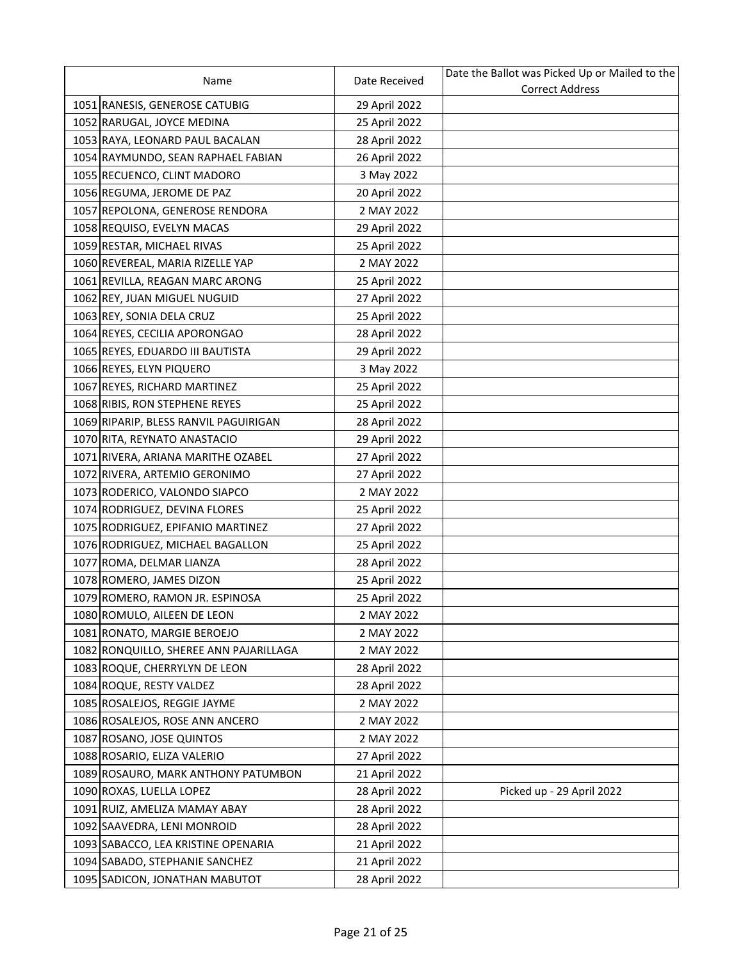| Name                                   | Date Received | Date the Ballot was Picked Up or Mailed to the |
|----------------------------------------|---------------|------------------------------------------------|
|                                        |               | <b>Correct Address</b>                         |
| 1051 RANESIS, GENEROSE CATUBIG         | 29 April 2022 |                                                |
| 1052 RARUGAL, JOYCE MEDINA             | 25 April 2022 |                                                |
| 1053 RAYA, LEONARD PAUL BACALAN        | 28 April 2022 |                                                |
| 1054 RAYMUNDO, SEAN RAPHAEL FABIAN     | 26 April 2022 |                                                |
| 1055 RECUENCO, CLINT MADORO            | 3 May 2022    |                                                |
| 1056 REGUMA, JEROME DE PAZ             | 20 April 2022 |                                                |
| 1057 REPOLONA, GENEROSE RENDORA        | 2 MAY 2022    |                                                |
| 1058 REQUISO, EVELYN MACAS             | 29 April 2022 |                                                |
| 1059 RESTAR, MICHAEL RIVAS             | 25 April 2022 |                                                |
| 1060 REVEREAL, MARIA RIZELLE YAP       | 2 MAY 2022    |                                                |
| 1061 REVILLA, REAGAN MARC ARONG        | 25 April 2022 |                                                |
| 1062 REY, JUAN MIGUEL NUGUID           | 27 April 2022 |                                                |
| 1063 REY, SONIA DELA CRUZ              | 25 April 2022 |                                                |
| 1064 REYES, CECILIA APORONGAO          | 28 April 2022 |                                                |
| 1065 REYES, EDUARDO III BAUTISTA       | 29 April 2022 |                                                |
| 1066 REYES, ELYN PIQUERO               | 3 May 2022    |                                                |
| 1067 REYES, RICHARD MARTINEZ           | 25 April 2022 |                                                |
| 1068 RIBIS, RON STEPHENE REYES         | 25 April 2022 |                                                |
| 1069 RIPARIP, BLESS RANVIL PAGUIRIGAN  | 28 April 2022 |                                                |
| 1070 RITA, REYNATO ANASTACIO           | 29 April 2022 |                                                |
| 1071 RIVERA, ARIANA MARITHE OZABEL     | 27 April 2022 |                                                |
| 1072 RIVERA, ARTEMIO GERONIMO          | 27 April 2022 |                                                |
| 1073 RODERICO, VALONDO SIAPCO          | 2 MAY 2022    |                                                |
| 1074 RODRIGUEZ, DEVINA FLORES          | 25 April 2022 |                                                |
| 1075 RODRIGUEZ, EPIFANIO MARTINEZ      | 27 April 2022 |                                                |
| 1076 RODRIGUEZ, MICHAEL BAGALLON       | 25 April 2022 |                                                |
| 1077 ROMA, DELMAR LIANZA               | 28 April 2022 |                                                |
| 1078 ROMERO, JAMES DIZON               | 25 April 2022 |                                                |
| 1079 ROMERO, RAMON JR. ESPINOSA        | 25 April 2022 |                                                |
| 1080 ROMULO, AILEEN DE LEON            | 2 MAY 2022    |                                                |
| 1081 RONATO, MARGIE BEROEJO            | 2 MAY 2022    |                                                |
| 1082 RONQUILLO, SHEREE ANN PAJARILLAGA | 2 MAY 2022    |                                                |
| 1083 ROQUE, CHERRYLYN DE LEON          | 28 April 2022 |                                                |
| 1084 ROQUE, RESTY VALDEZ               | 28 April 2022 |                                                |
| 1085 ROSALEJOS, REGGIE JAYME           | 2 MAY 2022    |                                                |
| 1086 ROSALEJOS, ROSE ANN ANCERO        | 2 MAY 2022    |                                                |
| 1087 ROSANO, JOSE QUINTOS              | 2 MAY 2022    |                                                |
| 1088 ROSARIO, ELIZA VALERIO            | 27 April 2022 |                                                |
| 1089 ROSAURO, MARK ANTHONY PATUMBON    | 21 April 2022 |                                                |
| 1090 ROXAS, LUELLA LOPEZ               | 28 April 2022 | Picked up - 29 April 2022                      |
| 1091 RUIZ, AMELIZA MAMAY ABAY          | 28 April 2022 |                                                |
| 1092 SAAVEDRA, LENI MONROID            | 28 April 2022 |                                                |
| 1093 SABACCO, LEA KRISTINE OPENARIA    | 21 April 2022 |                                                |
| 1094 SABADO, STEPHANIE SANCHEZ         | 21 April 2022 |                                                |
| 1095 SADICON, JONATHAN MABUTOT         | 28 April 2022 |                                                |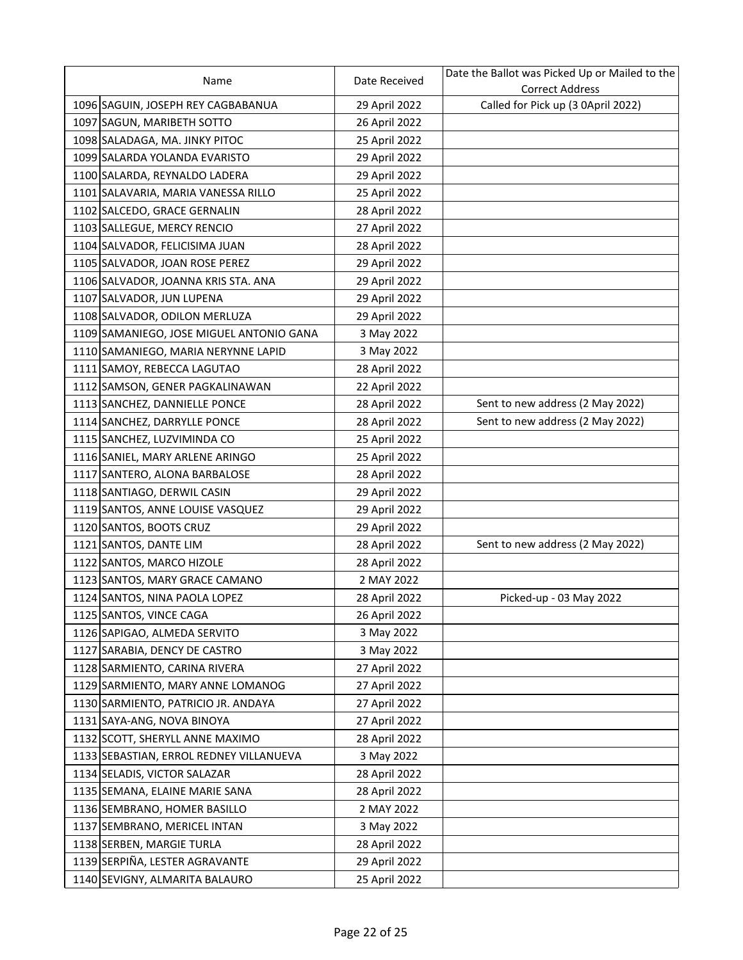| Name                                     | Date Received | Date the Ballot was Picked Up or Mailed to the |
|------------------------------------------|---------------|------------------------------------------------|
|                                          |               | <b>Correct Address</b>                         |
| 1096 SAGUIN, JOSEPH REY CAGBABANUA       | 29 April 2022 | Called for Pick up (3 0April 2022)             |
| 1097 SAGUN, MARIBETH SOTTO               | 26 April 2022 |                                                |
| 1098 SALADAGA, MA. JINKY PITOC           | 25 April 2022 |                                                |
| 1099 SALARDA YOLANDA EVARISTO            | 29 April 2022 |                                                |
| 1100 SALARDA, REYNALDO LADERA            | 29 April 2022 |                                                |
| 1101 SALAVARIA, MARIA VANESSA RILLO      | 25 April 2022 |                                                |
| 1102 SALCEDO, GRACE GERNALIN             | 28 April 2022 |                                                |
| 1103 SALLEGUE, MERCY RENCIO              | 27 April 2022 |                                                |
| 1104 SALVADOR, FELICISIMA JUAN           | 28 April 2022 |                                                |
| 1105 SALVADOR, JOAN ROSE PEREZ           | 29 April 2022 |                                                |
| 1106 SALVADOR, JOANNA KRIS STA. ANA      | 29 April 2022 |                                                |
| 1107 SALVADOR, JUN LUPENA                | 29 April 2022 |                                                |
| 1108 SALVADOR, ODILON MERLUZA            | 29 April 2022 |                                                |
| 1109 SAMANIEGO, JOSE MIGUEL ANTONIO GANA | 3 May 2022    |                                                |
| 1110 SAMANIEGO, MARIA NERYNNE LAPID      | 3 May 2022    |                                                |
| 1111 SAMOY, REBECCA LAGUTAO              | 28 April 2022 |                                                |
| 1112 SAMSON, GENER PAGKALINAWAN          | 22 April 2022 |                                                |
| 1113 SANCHEZ, DANNIELLE PONCE            | 28 April 2022 | Sent to new address (2 May 2022)               |
| 1114 SANCHEZ, DARRYLLE PONCE             | 28 April 2022 | Sent to new address (2 May 2022)               |
| 1115 SANCHEZ, LUZVIMINDA CO              | 25 April 2022 |                                                |
| 1116 SANIEL, MARY ARLENE ARINGO          | 25 April 2022 |                                                |
| 1117 SANTERO, ALONA BARBALOSE            | 28 April 2022 |                                                |
| 1118 SANTIAGO, DERWIL CASIN              | 29 April 2022 |                                                |
| 1119 SANTOS, ANNE LOUISE VASQUEZ         | 29 April 2022 |                                                |
| 1120 SANTOS, BOOTS CRUZ                  | 29 April 2022 |                                                |
| 1121 SANTOS, DANTE LIM                   | 28 April 2022 | Sent to new address (2 May 2022)               |
| 1122 SANTOS, MARCO HIZOLE                | 28 April 2022 |                                                |
| 1123 SANTOS, MARY GRACE CAMANO           | 2 MAY 2022    |                                                |
| 1124 SANTOS, NINA PAOLA LOPEZ            | 28 April 2022 | Picked-up - 03 May 2022                        |
| 1125 SANTOS, VINCE CAGA                  | 26 April 2022 |                                                |
| 1126 SAPIGAO, ALMEDA SERVITO             | 3 May 2022    |                                                |
| 1127 SARABIA, DENCY DE CASTRO            | 3 May 2022    |                                                |
| 1128 SARMIENTO, CARINA RIVERA            | 27 April 2022 |                                                |
| 1129 SARMIENTO, MARY ANNE LOMANOG        | 27 April 2022 |                                                |
| 1130 SARMIENTO, PATRICIO JR. ANDAYA      | 27 April 2022 |                                                |
| 1131 SAYA-ANG, NOVA BINOYA               | 27 April 2022 |                                                |
| 1132 SCOTT, SHERYLL ANNE MAXIMO          | 28 April 2022 |                                                |
| 1133 SEBASTIAN, ERROL REDNEY VILLANUEVA  | 3 May 2022    |                                                |
| 1134 SELADIS, VICTOR SALAZAR             | 28 April 2022 |                                                |
| 1135 SEMANA, ELAINE MARIE SANA           | 28 April 2022 |                                                |
| 1136 SEMBRANO, HOMER BASILLO             | 2 MAY 2022    |                                                |
| 1137 SEMBRANO, MERICEL INTAN             | 3 May 2022    |                                                |
| 1138 SERBEN, MARGIE TURLA                | 28 April 2022 |                                                |
| 1139 SERPIÑA, LESTER AGRAVANTE           | 29 April 2022 |                                                |
| 1140 SEVIGNY, ALMARITA BALAURO           | 25 April 2022 |                                                |
|                                          |               |                                                |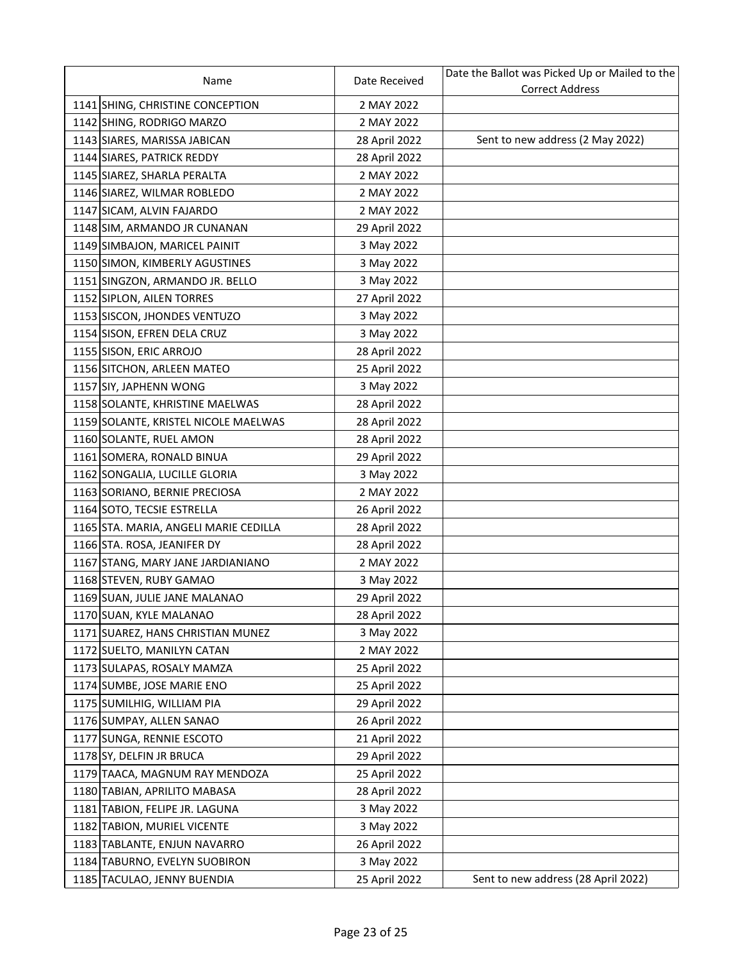| Name                                  | Date Received | Date the Ballot was Picked Up or Mailed to the |
|---------------------------------------|---------------|------------------------------------------------|
|                                       |               | <b>Correct Address</b>                         |
| 1141 SHING, CHRISTINE CONCEPTION      | 2 MAY 2022    |                                                |
| 1142 SHING, RODRIGO MARZO             | 2 MAY 2022    |                                                |
| 1143 SIARES, MARISSA JABICAN          | 28 April 2022 | Sent to new address (2 May 2022)               |
| 1144 SIARES, PATRICK REDDY            | 28 April 2022 |                                                |
| 1145 SIAREZ, SHARLA PERALTA           | 2 MAY 2022    |                                                |
| 1146 SIAREZ, WILMAR ROBLEDO           | 2 MAY 2022    |                                                |
| 1147 SICAM, ALVIN FAJARDO             | 2 MAY 2022    |                                                |
| 1148 SIM, ARMANDO JR CUNANAN          | 29 April 2022 |                                                |
| 1149 SIMBAJON, MARICEL PAINIT         | 3 May 2022    |                                                |
| 1150 SIMON, KIMBERLY AGUSTINES        | 3 May 2022    |                                                |
| 1151 SINGZON, ARMANDO JR. BELLO       | 3 May 2022    |                                                |
| 1152 SIPLON, AILEN TORRES             | 27 April 2022 |                                                |
| 1153 SISCON, JHONDES VENTUZO          | 3 May 2022    |                                                |
| 1154 SISON, EFREN DELA CRUZ           | 3 May 2022    |                                                |
| 1155 SISON, ERIC ARROJO               | 28 April 2022 |                                                |
| 1156 SITCHON, ARLEEN MATEO            | 25 April 2022 |                                                |
| 1157 SIY, JAPHENN WONG                | 3 May 2022    |                                                |
| 1158 SOLANTE, KHRISTINE MAELWAS       | 28 April 2022 |                                                |
| 1159 SOLANTE, KRISTEL NICOLE MAELWAS  | 28 April 2022 |                                                |
| 1160 SOLANTE, RUEL AMON               | 28 April 2022 |                                                |
| 1161 SOMERA, RONALD BINUA             | 29 April 2022 |                                                |
| 1162 SONGALIA, LUCILLE GLORIA         | 3 May 2022    |                                                |
| 1163 SORIANO, BERNIE PRECIOSA         | 2 MAY 2022    |                                                |
| 1164 SOTO, TECSIE ESTRELLA            | 26 April 2022 |                                                |
| 1165 STA. MARIA, ANGELI MARIE CEDILLA | 28 April 2022 |                                                |
| 1166 STA. ROSA, JEANIFER DY           | 28 April 2022 |                                                |
| 1167 STANG, MARY JANE JARDIANIANO     | 2 MAY 2022    |                                                |
| 1168 STEVEN, RUBY GAMAO               | 3 May 2022    |                                                |
| 1169 SUAN, JULIE JANE MALANAO         | 29 April 2022 |                                                |
| 1170 SUAN, KYLE MALANAO               | 28 April 2022 |                                                |
| 1171 SUAREZ, HANS CHRISTIAN MUNEZ     | 3 May 2022    |                                                |
| 1172 SUELTO, MANILYN CATAN            | 2 MAY 2022    |                                                |
| 1173 SULAPAS, ROSALY MAMZA            | 25 April 2022 |                                                |
| 1174 SUMBE, JOSE MARIE ENO            | 25 April 2022 |                                                |
| 1175 SUMILHIG, WILLIAM PIA            | 29 April 2022 |                                                |
| 1176 SUMPAY, ALLEN SANAO              | 26 April 2022 |                                                |
| 1177 SUNGA, RENNIE ESCOTO             | 21 April 2022 |                                                |
| 1178 SY, DELFIN JR BRUCA              | 29 April 2022 |                                                |
| 1179 TAACA, MAGNUM RAY MENDOZA        | 25 April 2022 |                                                |
| 1180 TABIAN, APRILITO MABASA          | 28 April 2022 |                                                |
| 1181 TABION, FELIPE JR. LAGUNA        | 3 May 2022    |                                                |
| 1182 TABION, MURIEL VICENTE           | 3 May 2022    |                                                |
| 1183 TABLANTE, ENJUN NAVARRO          | 26 April 2022 |                                                |
| 1184 TABURNO, EVELYN SUOBIRON         | 3 May 2022    |                                                |
| 1185 TACULAO, JENNY BUENDIA           | 25 April 2022 | Sent to new address (28 April 2022)            |
|                                       |               |                                                |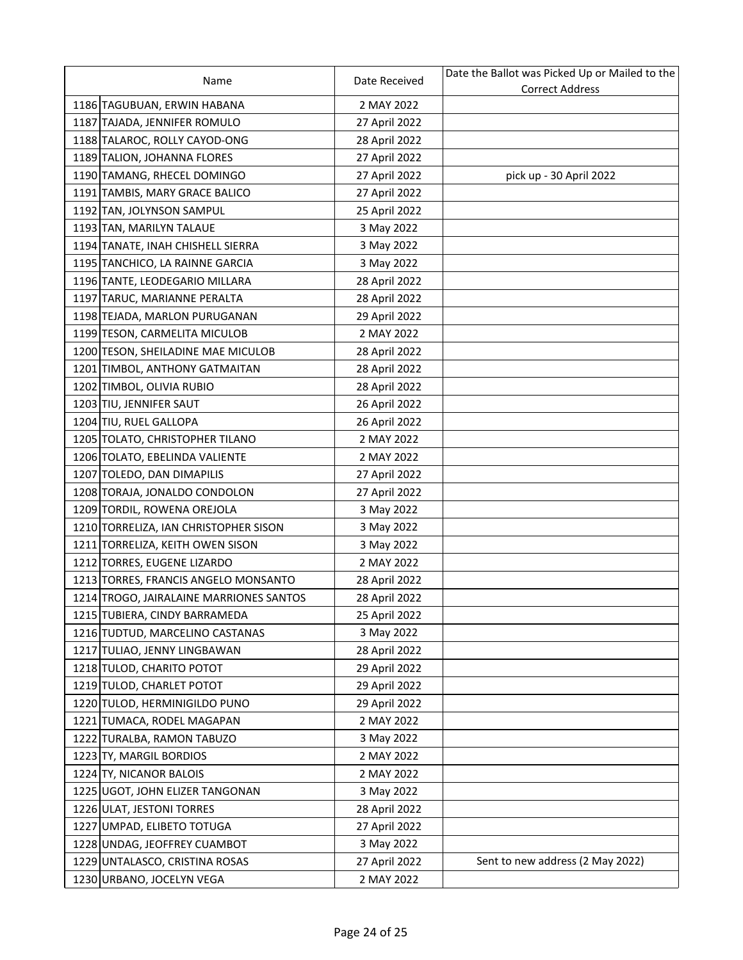| Name                                    | Date Received | Date the Ballot was Picked Up or Mailed to the |
|-----------------------------------------|---------------|------------------------------------------------|
|                                         |               | <b>Correct Address</b>                         |
| 1186 TAGUBUAN, ERWIN HABANA             | 2 MAY 2022    |                                                |
| 1187 TAJADA, JENNIFER ROMULO            | 27 April 2022 |                                                |
| 1188 TALAROC, ROLLY CAYOD-ONG           | 28 April 2022 |                                                |
| 1189 TALION, JOHANNA FLORES             | 27 April 2022 |                                                |
| 1190 TAMANG, RHECEL DOMINGO             | 27 April 2022 | pick up - 30 April 2022                        |
| 1191 TAMBIS, MARY GRACE BALICO          | 27 April 2022 |                                                |
| 1192 TAN, JOLYNSON SAMPUL               | 25 April 2022 |                                                |
| 1193 TAN, MARILYN TALAUE                | 3 May 2022    |                                                |
| 1194 TANATE, INAH CHISHELL SIERRA       | 3 May 2022    |                                                |
| 1195 TANCHICO, LA RAINNE GARCIA         | 3 May 2022    |                                                |
| 1196 TANTE, LEODEGARIO MILLARA          | 28 April 2022 |                                                |
| 1197 TARUC, MARIANNE PERALTA            | 28 April 2022 |                                                |
| 1198 TEJADA, MARLON PURUGANAN           | 29 April 2022 |                                                |
| 1199 TESON, CARMELITA MICULOB           | 2 MAY 2022    |                                                |
| 1200 TESON, SHEILADINE MAE MICULOB      | 28 April 2022 |                                                |
| 1201 TIMBOL, ANTHONY GATMAITAN          | 28 April 2022 |                                                |
| 1202 TIMBOL, OLIVIA RUBIO               | 28 April 2022 |                                                |
| 1203 TIU, JENNIFER SAUT                 | 26 April 2022 |                                                |
| 1204 TIU, RUEL GALLOPA                  | 26 April 2022 |                                                |
| 1205 TOLATO, CHRISTOPHER TILANO         | 2 MAY 2022    |                                                |
| 1206 TOLATO, EBELINDA VALIENTE          | 2 MAY 2022    |                                                |
| 1207 TOLEDO, DAN DIMAPILIS              | 27 April 2022 |                                                |
| 1208 TORAJA, JONALDO CONDOLON           | 27 April 2022 |                                                |
| 1209 TORDIL, ROWENA OREJOLA             | 3 May 2022    |                                                |
| 1210 TORRELIZA, IAN CHRISTOPHER SISON   | 3 May 2022    |                                                |
| 1211 TORRELIZA, KEITH OWEN SISON        | 3 May 2022    |                                                |
| 1212 TORRES, EUGENE LIZARDO             | 2 MAY 2022    |                                                |
| 1213 TORRES, FRANCIS ANGELO MONSANTO    | 28 April 2022 |                                                |
| 1214 TROGO, JAIRALAINE MARRIONES SANTOS | 28 April 2022 |                                                |
| 1215 TUBIERA, CINDY BARRAMEDA           | 25 April 2022 |                                                |
| 1216 TUDTUD, MARCELINO CASTANAS         | 3 May 2022    |                                                |
| 1217 TULIAO, JENNY LINGBAWAN            | 28 April 2022 |                                                |
| 1218 TULOD, CHARITO POTOT               | 29 April 2022 |                                                |
| 1219 TULOD, CHARLET POTOT               | 29 April 2022 |                                                |
| 1220 TULOD, HERMINIGILDO PUNO           | 29 April 2022 |                                                |
| 1221 TUMACA, RODEL MAGAPAN              | 2 MAY 2022    |                                                |
| 1222 TURALBA, RAMON TABUZO              | 3 May 2022    |                                                |
| 1223 TY, MARGIL BORDIOS                 | 2 MAY 2022    |                                                |
| 1224 TY, NICANOR BALOIS                 | 2 MAY 2022    |                                                |
| 1225 UGOT, JOHN ELIZER TANGONAN         | 3 May 2022    |                                                |
| 1226 ULAT, JESTONI TORRES               | 28 April 2022 |                                                |
| 1227 UMPAD, ELIBETO TOTUGA              | 27 April 2022 |                                                |
| 1228 UNDAG, JEOFFREY CUAMBOT            | 3 May 2022    |                                                |
| 1229 UNTALASCO, CRISTINA ROSAS          | 27 April 2022 | Sent to new address (2 May 2022)               |
| 1230 URBANO, JOCELYN VEGA               | 2 MAY 2022    |                                                |